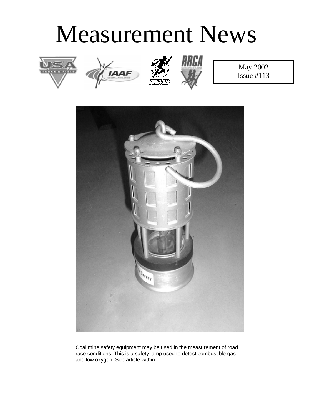# Measurement News









May 2002 Issue #113



Coal mine safety equipment may be used in the measurement of road race conditions. This is a safety lamp used to detect combustible gas and low oxygen. See article within.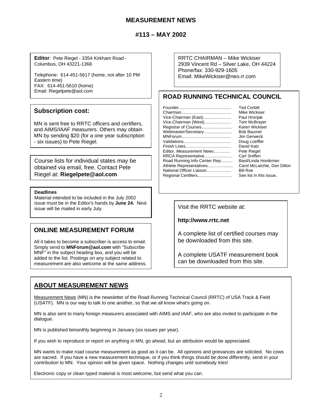## **MEASUREMENT NEWS**

## **#113 – MAY 2002**

**Editor**: Pete Riegel - 3354 Kirkham Road - Columbus, OH 43221-1368

Telephone: 614-451-5617 (home, not after 10 PM Eastern time) FAX: 614-451-5610 (home) Email: Riegelpete@aol.com

#### **Subscription cost:**

MN is sent free to RRTC officers and certifiers, and AIMS/IAAF measurers. Others may obtain MN by sending \$20 (for a one year subscription - six issues) to Pete Riegel.

Course lists for individual states may be obtained via email, free. Contact Pete Riegel at: **Riegelpete@aol.com**

#### **Deadlines**

Material intended to be included in the July 2002 issue must be in the Editor's hands by **June 24.** Next issue must be mailed in early July.

## **ONLINE MEASUREMENT FORUM**

All it takes to become a subscriber is access to email. Simply send to **MNForum@aol.com** with "Subscribe MNF" in the subject heading box, and you will be added to the list. Postings on any subject related to measurement are also welcome at the same address. RRTC CHAIRMAN – Mike Wickiser 2939 Vincent Rd – Silver Lake, OH 44224 Phone/fax: 330-929-1605 Email: MikeWickiser@neo.rr.com

## **ROAD RUNNING TECHNICAL COUNCIL**

|                              | <b>Ted Corbitt</b>  |
|------------------------------|---------------------|
|                              | Mike Wickiser       |
| Vice-Chairman (East)         | Paul Hronjak        |
| Vice-Chairman (West)         | <b>Tom McBrayer</b> |
| Registrar of Courses         | Karen Wickiser      |
| Webmaster/Secretary          | <b>Bob Baumel</b>   |
|                              | Jim Gerweck         |
|                              | Doug Loeffler       |
|                              | David Katz          |
| Editor, Measurement News     | Pete Riegel         |
| RRCA Representative          | Carl Sniffen        |
| Road Running Info Center Rep | Basil/Linda Hor     |
| Athlete Representatives      | Carol McLatchi      |
| National Officer Liaison     | Bill Roe            |
| Regional Certifiers          | See list in this i  |
|                              |                     |

la Honikman Atchie, Dan Dillon this issue.

**http://www.rrtc.net**

A complete list of certified courses may be downloaded from this site.

A complete USATF measurement book can be downloaded from this site.

## **ABOUT MEASUREMENT NEWS**

Measurement News (MN) is the newsletter of the Road Running Technical Council (RRTC) of USA Track & Field (USATF). MN is our way to talk to one another, so that we all know what's going on.

MN is also sent to many foreign measurers associated with AIMS and IAAF, who are also invited to participate in the dialogue.

MN is published bimonthly beginning in January (six issues per year).

If you wish to reproduce or report on anything in MN, go ahead, but an attribution would be appreciated.

MN wants to make road course measurement as good as it can be. All opinions and grievances are solicited. No cows are sacred. If you have a new measurement technique, or if you think things should be done differently, send in your contribution to MN. Your opinion will be given space. Nothing changes until somebody tries!

Electronic copy or clean typed material is most welcome, but send what you can.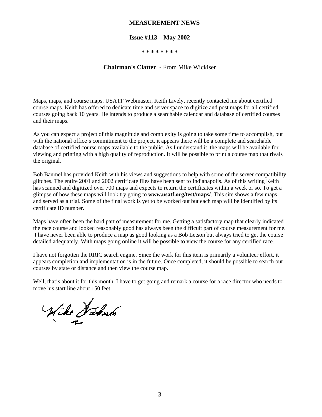#### **MEASUREMENT NEWS**

#### **Issue #113 – May 2002**

#### **\* \* \* \* \* \* \* \***

#### **Chairman's Clatter -** From Mike Wickiser

Maps, maps, and course maps. USATF Webmaster, Keith Lively, recently contacted me about certified course maps. Keith has offered to dedicate time and server space to digitize and post maps for all certified courses going back 10 years. He intends to produce a searchable calendar and database of certified courses and their maps.

As you can expect a project of this magnitude and complexity is going to take some time to accomplish, but with the national office's commitment to the project, it appears there will be a complete and searchable database of certified course maps available to the public. As I understand it, the maps will be available for viewing and printing with a high quality of reproduction. It will be possible to print a course map that rivals the original.

Bob Baumel has provided Keith with his views and suggestions to help with some of the server compatibility glitches. The entire 2001 and 2002 certificate files have been sent to Indianapolis. As of this writing Keith has scanned and digitized over 700 maps and expects to return the certificates within a week or so. To get a glimpse of how these maps will look try going to **www.usatf.org/test/maps/**. This site shows a few maps and served as a trial. Some of the final work is yet to be worked out but each map will be identified by its certificate ID number.

Maps have often been the hard part of measurement for me. Getting a satisfactory map that clearly indicated the race course and looked reasonably good has always been the difficult part of course measurement for me. I have never been able to produce a map as good looking as a Bob Letson but always tried to get the course detailed adequately. With maps going online it will be possible to view the course for any certified race.

I have not forgotten the RRIC search engine. Since the work for this item is primarily a volunteer effort, it appears completion and implementation is in the future. Once completed, it should be possible to search out courses by state or distance and then view the course map.

Well, that's about it for this month. I have to get going and remark a course for a race director who needs to move his start line about 150 feet.

Wike Hebrach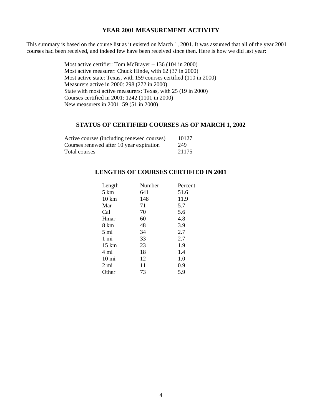#### **YEAR 2001 MEASUREMENT ACTIVITY**

This summary is based on the course list as it existed on March 1, 2001. It was assumed that all of the year 2001 courses had been received, and indeed few have been received since then. Here is how we did last year:

> Most active certifier: Tom McBrayer – 136 (104 in 2000) Most active measurer: Chuck Hinde, with 62 (37 in 2000) Most active state: Texas, with 159 courses certified (110 in 2000) Measurers active in 2000: 298 (272 in 2000) State with most active measurers: Texas, with 25 (19 in 2000) Courses certified in 2001: 1242 (1101 in 2000) New measurers in 2001: 59 (51 in 2000)

#### **STATUS OF CERTIFIED COURSES AS OF MARCH 1, 2002**

| Active courses (including renewed courses) | 10127 |
|--------------------------------------------|-------|
| Courses renewed after 10 year expiration   | 249   |
| Total courses                              | 21175 |

## **LENGTHS OF COURSES CERTIFIED IN 2001**

| Length          | Number | Percent |
|-----------------|--------|---------|
| 5 km            | 641    | 51.6    |
| $10 \text{ km}$ | 148    | 11.9    |
| Mar             | 71     | 5.7     |
| Cal             | 70     | 5.6     |
| Hmar            | 60     | 4.8     |
| 8 km            | 48     | 3.9     |
| 5 mi            | 34     | 2.7     |
| 1 mi            | 33     | 2.7     |
| $15 \text{ km}$ | 23     | 1.9     |
| 4 mi            | 18     | 1.4     |
| $10 \text{ mi}$ | 12     | 1.0     |
| 2 mi            | 11     | 0.9     |
| Other           | 73     | 5.9     |
|                 |        |         |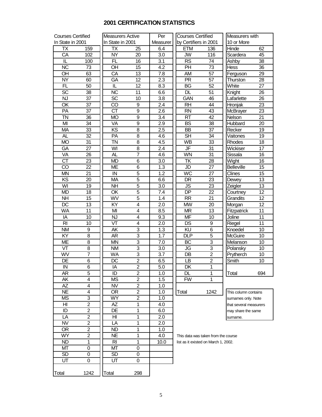## **2001 CERTIFICATION STATISTICS**

| <b>Courses Certified</b> |                | <b>Measurers Active</b> |                | Per              | <b>Courses Certified</b>             |                | Measurers with         |     |  |  |
|--------------------------|----------------|-------------------------|----------------|------------------|--------------------------------------|----------------|------------------------|-----|--|--|
| In State in 2001         |                | In State in 2001        |                | Measurer         | by Certifiers in 2001                |                | 10 or More             |     |  |  |
| TX                       | 159            | TX                      | 25             | 6.4              | <b>ETM</b>                           | 136            | Hinde                  | 62  |  |  |
| CA                       | 102            | <b>NY</b>               | 20             | 3.0              | <b>JW</b>                            | 116            | Scardera               | 45  |  |  |
| IL                       | 100            | <b>FL</b>               | 16             | 3.1              | <b>RS</b>                            | 74             | Ashby                  | 38  |  |  |
| <b>NC</b>                | 73             | OH                      | 15             | 4.2              | PH                                   | 73             | Hess                   | 36  |  |  |
| OH                       | 63             | CA                      | 13             | 7.8              | AM                                   | 57             | Ferguson               | 29  |  |  |
| <b>NY</b>                | 60             | GA                      | 12             | 2.3              | <b>PR</b>                            | 57             | Thurston               | 28  |  |  |
| FL                       | 50             | IL                      | 12             | 8.3              | BG                                   | 52             | White                  | 27  |  |  |
|                          |                | <b>NC</b>               |                |                  | <b>DL</b>                            |                |                        | 26  |  |  |
| <b>SC</b>                | 38             |                         | 11             | 6.6              |                                      | 51             | Knight                 |     |  |  |
| NJ                       | 37             | SC                      | 10             | 3.8              | GAN                                  | 46             | Lafarlette             | 26  |  |  |
| OK                       | 37             | CO                      | 9              | 2.4              | <b>RH</b>                            | 44             | Hronjak                | 23  |  |  |
| PA                       | 37             | <b>CT</b>               | 9              | $\overline{2.6}$ | <b>RN</b>                            | 43             | McBrayer               | 23  |  |  |
| <b>TN</b>                | 36             | <b>MO</b>               | 9              | 3.4              | <b>RT</b>                            | 42             | Nelson                 | 21  |  |  |
| MI                       | 34             | VA                      | $\overline{9}$ | 2.9              | <b>BS</b>                            | 38             | Hubbard                | 20  |  |  |
| <b>MA</b>                | 33             | KS                      | 8              | 2.5              | <b>BB</b>                            | 37             | Recker                 | 19  |  |  |
| <b>AL</b>                | 32             | PA                      | 8              | 4.6              | <b>SH</b>                            | 34             | Vaitones               | 19  |  |  |
| <b>MO</b>                | 31             | <b>TN</b>               | 8              | 4.5              | <b>WB</b>                            | 33             | Rhodes                 | 18  |  |  |
| GA                       | 27             | WI                      | 8              | 2.4              | JF                                   | 31             | Wickiser               | 17  |  |  |
| VA                       | 26             | <b>AL</b>               | $\overline{7}$ | 4.6              | WN                                   | 31             | Sissala                | 16  |  |  |
| $\overline{\text{CT}}$   | 23             | <b>MD</b>               | 6              | 3.0              | <b>TK</b>                            | 28             | Wight                  | 16  |  |  |
| CO                       | 22             | <b>ME</b>               | 6              | 1.3              | JD                                   | 27             | <b>Belleville</b>      | 15  |  |  |
| <b>MN</b>                | 21             | $\sf IN$                | $\overline{5}$ | 1.2              | <b>WC</b>                            | 27             | Clines                 | 15  |  |  |
| KS                       | 20             | <b>MA</b>               | $\overline{5}$ | 6.6              | DR                                   | 23             | Dewey                  | 13  |  |  |
| WI                       | 19             | <b>NH</b>               | $\overline{5}$ | 3.0              | <b>JS</b>                            | 23             | Zeigler                | 13  |  |  |
| <b>MD</b>                | 18             | OK                      | $\overline{5}$ | 7.4              | <b>DP</b>                            | 22             |                        | 12  |  |  |
|                          |                |                         |                |                  |                                      |                | Courtney               |     |  |  |
| <b>NH</b>                | 15             | WV                      | $\overline{5}$ | 1.4              | <b>RR</b>                            | 21             | Grandits               | 12  |  |  |
| $\overline{DC}$          | 13             | $\overline{KY}$         | 4              | 2.0              | <b>MW</b>                            | 20             | Morgan                 | 12  |  |  |
| <b>WA</b>                | 11             | MI                      | 4              | 8.5              | <b>MR</b>                            | 13             | Fitzpatrick            | 11  |  |  |
| IA                       | 10             | NJ                      | 4              | 9.3              | <b>MF</b>                            | 10             | Joline                 | 11  |  |  |
| RI                       | 10             | $\overline{\mathsf{V}}$ | 4              | 2.0              | DS                                   | 9              | Riegel                 | 11  |  |  |
| <b>NM</b>                | 9              | AΚ                      | 3              | 1.3              | KU                                   | 6              | Knoedel                | 10  |  |  |
| KY                       | $\overline{8}$ | AR                      | $\overline{3}$ | $\overline{1.7}$ | <b>DLP</b>                           | 5              | <b>McGuire</b>         | 10  |  |  |
| <b>ME</b>                | 8              | <b>MN</b>               | 3              | 7.0              | BC                                   | 3              | Melanson               | 10  |  |  |
| VT                       | $\overline{8}$ | <b>NM</b>               | $\overline{3}$ | 3.0              | JG                                   | $\overline{3}$ | Polansky               | 10  |  |  |
| WV                       | $\overline{7}$ | <b>WA</b>               | $\overline{3}$ | 3.7              | DB                                   | $\overline{2}$ | Prytherch              | 10  |  |  |
| DE                       | 6              | DC                      | $\overline{2}$ | 6.5              | LB                                   | $\overline{2}$ | Smith                  | 10  |  |  |
| IN                       | $\overline{6}$ | IA                      | $\overline{2}$ | 5.0              | DK                                   | $\mathbf{1}$   |                        |     |  |  |
| AR                       | 5              | ID                      | 2              | 1.0              | DL                                   | 1              | Total                  | 694 |  |  |
| AΚ                       | 4              | <b>MS</b>               | 2              | 1.5              | <b>FW</b>                            | 1              |                        |     |  |  |
| AΖ                       | 4              | NV.                     | $\overline{c}$ | 1.0              |                                      |                |                        |     |  |  |
| <b>NE</b>                | 4              | OR.                     | $\overline{c}$ | 1.0              | Total                                | 1242           | This column contains   |     |  |  |
| <b>MS</b>                | 3              | <b>WY</b>               | $\overline{2}$ |                  |                                      |                |                        |     |  |  |
|                          |                |                         |                | 1.0              |                                      |                | surnames only. Note    |     |  |  |
| HI                       | $\overline{2}$ | AZ                      | 1              | 4.0              |                                      |                | that several measurers |     |  |  |
| ID                       | $\overline{c}$ | DE                      | 1              | 6.0              |                                      |                | may share the same     |     |  |  |
| LA                       | $\overline{c}$ | HI                      | 1              | 2.0              |                                      |                | surname.               |     |  |  |
| <b>NV</b>                | $\overline{2}$ | LA                      | 1              | 2.0              |                                      |                |                        |     |  |  |
| <b>OR</b>                | $\overline{2}$ | ND                      | 1              | 1.0              |                                      |                |                        |     |  |  |
| <b>WY</b>                | $\overline{c}$ | NE                      | 1              | 4.0              | This data was taken from the course  |                |                        |     |  |  |
| ND                       | 1              | RI                      | 1              | 10.0             | list as it existed on March 1, 2002. |                |                        |     |  |  |
| МT                       | 0              | МT                      | 0              |                  |                                      |                |                        |     |  |  |
| <b>SD</b>                | 0              | <b>SD</b>               | 0              |                  |                                      |                |                        |     |  |  |
| UT                       | 0              | UT                      | 0              |                  |                                      |                |                        |     |  |  |
|                          |                |                         |                |                  |                                      |                |                        |     |  |  |
| Total                    | 1242           | Total                   | 298            |                  |                                      |                |                        |     |  |  |
|                          |                |                         |                |                  |                                      |                |                        |     |  |  |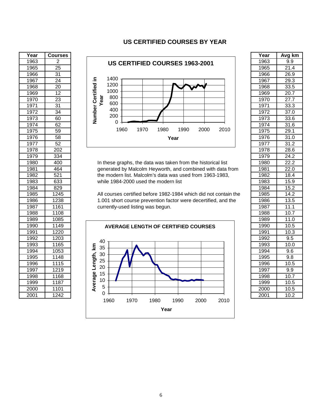#### **US CERTIFIED COURSES BY YEAR**

| Year | <b>Courses</b>   |                                                                  | Year | Avg k             |
|------|------------------|------------------------------------------------------------------|------|-------------------|
| 1963 | 2                | US CERTIFIED COURSES 1963-2001                                   | 1963 | 9.9               |
| 1965 | $\overline{25}$  |                                                                  | 1965 | 21.4              |
| 1966 | $\overline{31}$  |                                                                  | 1966 | 26.9              |
| 1967 | $\overline{24}$  | 1400<br>≘.                                                       | 1967 | 29.3              |
| 1968 | $\overline{20}$  | Number Certified<br>1200                                         | 1968 | 33.5              |
| 1969 | $\overline{12}$  | 1000                                                             | 1969 | 20.7              |
| 1970 | $\overline{23}$  | Year<br>800                                                      | 1970 | 27.7              |
| 1971 | $\overline{31}$  | 600                                                              | 1971 | 33.3              |
| 1972 | 34               | 400                                                              | 1972 | 37.0              |
| 1973 | 60               | 200                                                              | 1973 | 33.6              |
| 1974 | 62               | 0                                                                | 1974 | 31.6              |
| 1975 | 59               | 1960<br>1970<br>1980<br>1990<br>2000<br>2010                     | 1975 | 29.1              |
| 1976 | 58               | Year                                                             | 1976 | 31.0              |
| 1977 | $\overline{52}$  |                                                                  | 1977 | 31.2              |
| 1978 | $\overline{202}$ |                                                                  | 1978 | 28.6              |
| 1979 | 334              |                                                                  | 1979 | 24.2              |
| 1980 | 400              | In these graphs, the data was taken from the historical list     | 1980 | 22.2              |
| 1981 | 464              | generated by Malcolm Heyworth, and combined with data from       | 1981 | 22.0              |
| 1982 | 521              | the modern list. Malcolm's data was used from 1963-1983,         | 1982 | 18.4              |
| 1983 | 633              | while 1984-2000 used the modern list                             | 1983 | 15.9              |
| 1984 | 829              |                                                                  | 1984 | 15.2              |
| 1985 | 1245             | All courses certified before 1982-1984 which did not contain the | 1985 | 14.2              |
| 1986 | 1238             | 1.001 short course prevention factor were decertified, and the   | 1986 | 13.5              |
| 1987 | 1161             | currently-used listing was begun.                                | 1987 | 11.1              |
| 1988 | 1108             |                                                                  | 1988 | 10.7              |
| 1989 | 1085             |                                                                  | 1989 | $\overline{11.0}$ |
| 1990 | 1149             | <b>AVERAGE LENGTH OF CERTIFIED COURSES</b>                       | 1990 | $\overline{10.5}$ |
| 1991 | 1220             |                                                                  | 1991 | 10.3              |
| 1992 | 1203             | 40                                                               | 1992 | 9.5               |
| 1993 | 1165             | $\mathbf{K}$<br>35                                               | 1993 | 10.0              |
| 1994 | 1053             | 30                                                               | 1994 | 9.6               |
| 1995 | 1148             |                                                                  | 1995 | 9.8               |
| 1996 | 1115             | 25                                                               | 1996 | 10.5              |
| 1997 | 1219             | Average Length,<br>20                                            | 1997 | 9.9               |
| 1998 | 1168             | 15                                                               | 1998 | 10.7              |
| 1999 | 1187             | 10                                                               | 1999 | 10.5              |
| 2000 | 1101             | 5                                                                | 2000 | 10.5              |
| 2001 | 1242             | 0                                                                | 2001 | 10.2              |





| Year              | Avg km              |
|-------------------|---------------------|
| 1963              | 9.9                 |
| 1965              | $\overline{21.4}$   |
| 1966              | 26.9                |
| 1967              | 29.3                |
| 1968              | 33.5                |
| 1969              | 20.7                |
| <u> 1970</u>      | $\frac{27.7}{2}$    |
| 1971              | $\overline{3}3.3$   |
| 1972              | $\overline{37.0}$   |
| 1973              | 33.6                |
| 1974              | 31.6                |
| 1975              | $\overline{29.1}$   |
| 1976              | 31.0                |
| 1977              | 31.2                |
| 1978              | 28.6                |
| <u> 1979</u>      | <u>24.2</u>         |
| 1980              | 22.2                |
| 1981              | $\overline{2}2.0$   |
| $\frac{1}{1982}$  | $\overline{18.4}$   |
| 1983              | $\overline{15.9}$   |
| 1984              | 15.2                |
| 1985              | 14.2                |
| 1986              | 13.5                |
| 1987              |                     |
| 1988              | $\frac{11.1}{10.7}$ |
| 1989              | $\overline{1}1.0$   |
| 1990              | 10.5                |
| 1991              | 10.3                |
| 1992              | 9.5                 |
| 1993              | 10.0                |
| 1994              | 9.6                 |
| 1995              | 9.8                 |
| 1996              | $10.\overline{5}$   |
| 1997              | $\overline{9.9}$    |
| 1998              | 10.7                |
| 1999              | 10.5                |
| $\overline{2000}$ | $\overline{10.5}$   |
| 2001              | 10.2                |
|                   |                     |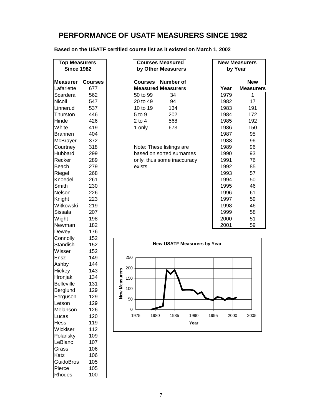# **PERFORMANCE OF USATF MEASURERS SINCE 1982**

**Based on the USATF certified course list as it existed on March 1, 2002**

| <b>Top Measurers</b> |                | <b>Courses Measured</b>            | <b>New Measurers</b>     |
|----------------------|----------------|------------------------------------|--------------------------|
| <b>Since 1982</b>    |                | by Other Measurers                 | by Year                  |
|                      |                |                                    |                          |
| <b>Measurer</b>      | <b>Courses</b> | <b>Number of</b><br><b>Courses</b> | <b>New</b>               |
| Lafarlette           | 677            | <b>Measured Measurers</b>          | Year<br><b>Measurers</b> |
| Scardera             | 562            | 50 to 99<br>34                     | 1979<br>1                |
| Nicoll               | 547            | 20 to 49<br>94                     | 17<br>1982               |
| Linnerud             | 537            | 10 to 19<br>134                    | 191<br>1983              |
| Thurston             | 446            | 5 to 9<br>202                      | 172<br>1984              |
| Hinde                | 426            | $2$ to $4$<br>568                  | 1985<br>192              |
| White                | 419            | 673<br>1 only                      | 150<br>1986              |
| <b>Brannen</b>       | 404            |                                    | 95<br>1987               |
| McBrayer             | 372            |                                    | 96<br>1988               |
| Courtney             | 318            | Note: These listings are           | 1989<br>96               |
| Hubbard              | 299            | based on sorted surnames           | 1990<br>93               |
| Recker               | 289            | only, thus some inaccuracy         | 76<br>1991               |
| Beach                | 279            | exists.                            | 1992<br>85               |
| Riegel               | 268            |                                    | 1993<br>57               |
| Knoedel              | 261            |                                    | 1994<br>50               |
| Smith                | 230            |                                    | 1995<br>46               |
| Nelson               | 226            |                                    | 61<br>1996               |
| Knight               | 223            |                                    | 59<br>1997               |
| Witkowski            | 219            |                                    | 1998<br>46               |
| Sissala              | 207            |                                    | 58<br>1999               |
| Wight                | 198            |                                    | 51<br>2000               |
| Newman               | 182            |                                    | 2001<br>59               |
| Dewey                | 176            |                                    |                          |
| Connolly             | 152            |                                    |                          |
| Standish             | 152            | <b>New USATF Measurers by Year</b> |                          |
| Wisser               | 152            |                                    |                          |
| Ensz                 | 149            | 250                                |                          |
| Ashby                | 144            |                                    |                          |
| Hickey               | 143            | 200                                |                          |
| Hronjak              | 134            | w Measurers<br>150                 |                          |
| <b>Belleville</b>    | 131            |                                    |                          |
| Berglund             | 129            | 100                                |                          |
| Ferguson             | 129            | ے<br>2                             |                          |
| Letson               | 129            | 50                                 |                          |
| Melanson             | 126            | 0                                  |                          |
| Lucas                | 120            | 1975<br>1980<br>1985<br>1990       | 2000<br>1995<br>2005     |
| Hess                 | 119            | Year                               |                          |
| Wickiser             | 112            |                                    |                          |
| Polansky             | 109            |                                    |                          |
| LeBlanc              | 107            |                                    |                          |
| Grass                | 106            |                                    |                          |
| Katz                 | 106            |                                    |                          |

GuidoBros 105<br>Pierce 105

Rhodes 100

Pierce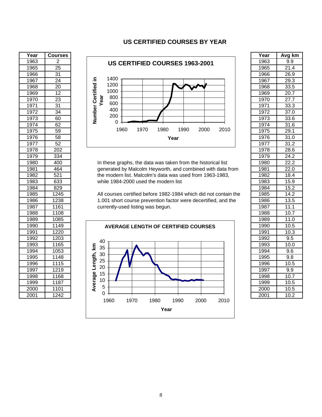#### **US CERTIFIED COURSES BY YEAR**

| Year | <b>Courses</b>   |                                                                  | Year | Avg k             |
|------|------------------|------------------------------------------------------------------|------|-------------------|
| 1963 | $\overline{2}$   | US CERTIFIED COURSES 1963-2001                                   | 1963 | 9.9               |
| 1965 | $\overline{25}$  |                                                                  | 1965 | 21.4              |
| 1966 | $\overline{31}$  |                                                                  | 1966 | 26.9              |
| 1967 | $\overline{24}$  | 1400<br>르.                                                       | 1967 | 29.3              |
| 1968 | $\overline{20}$  | 1200                                                             | 1968 | 33.5              |
| 1969 | 12               | Number Certified<br>1000                                         | 1969 | $\overline{20.7}$ |
| 1970 | $\overline{23}$  | Year<br>800                                                      | 1970 | 27.7              |
| 1971 | $\overline{31}$  | 600                                                              | 1971 | 33.3              |
| 1972 | 34               | 400                                                              | 1972 | 37.0              |
| 1973 | 60               | 200                                                              | 1973 | 33.6              |
| 1974 | 62               | 0                                                                | 1974 | 31.6              |
| 1975 | 59               | 1970<br>1980<br>1960<br>1990<br>2000<br>2010                     | 1975 | 29.1              |
| 1976 | $\overline{58}$  | Year                                                             | 1976 | 31.0              |
| 1977 | 52               |                                                                  | 1977 | 31.2              |
| 1978 | $\overline{202}$ |                                                                  | 1978 | 28.6              |
| 1979 | 334              |                                                                  | 1979 | 24.2              |
| 1980 | 400              | In these graphs, the data was taken from the historical list     | 1980 | 22.2              |
| 1981 | 464              | generated by Malcolm Heyworth, and combined with data from       | 1981 | 22.0              |
| 1982 | 521              | the modern list. Malcolm's data was used from 1963-1983,         | 1982 | 18.4              |
| 1983 | 633              | while 1984-2000 used the modern list                             | 1983 | 15.9              |
| 1984 | 829              |                                                                  | 1984 | 15.2              |
| 1985 | 1245             | All courses certified before 1982-1984 which did not contain the | 1985 | 14.2              |
| 1986 | 1238             | 1.001 short course prevention factor were decertified, and the   | 1986 | 13.5              |
| 1987 | 1161             | currently-used listing was begun.                                | 1987 | 11.1              |
| 1988 | 1108             |                                                                  | 1988 | 10.7              |
| 1989 | 1085             |                                                                  | 1989 | 11.0              |
| 1990 | 1149             | <b>AVERAGE LENGTH OF CERTIFIED COURSES</b>                       | 1990 | 10.5              |
| 1991 | 1220             |                                                                  | 1991 | 10.3              |
| 1992 | 1203             | 40                                                               | 1992 | $\overline{9.5}$  |
| 1993 | 1165             | $\mathbf{K}$<br>35                                               | 1993 | 10.0              |
| 1994 | 1053             | 30                                                               | 1994 | 9.6               |
| 1995 | 1148             | 25                                                               | 1995 | $\overline{9.8}$  |
| 1996 | 1115             | Average Length,<br>20                                            | 1996 | 10.5              |
| 1997 | 1219             |                                                                  | 1997 | 9.9               |
| 1998 | 1168             | 15                                                               | 1998 | 10.7              |
| 1999 | 1187             | 10                                                               | 1999 | 10.5              |
| 2000 | 1101             | 5                                                                | 2000 | 10.5              |
| 2001 | 1242             | 0                                                                | 2001 | 10.2              |





| <u>Year</u>          | Avg km              |
|----------------------|---------------------|
| 1963                 | 9.9                 |
| 1965                 | $\overline{21.4}$   |
| 1966                 | 26.9                |
| 1967                 | $\overline{29.3}$   |
| 1968                 | 33.5                |
| 1969                 | 20.7                |
| 1970                 |                     |
| 1971                 | 27.7                |
|                      | <u>33.3</u>         |
| <u> 1972</u><br>1973 | <u>37.0</u><br>33.6 |
|                      | 31.6                |
| 1974                 | 29.1                |
| 1975                 |                     |
| 1976                 | $\overline{3}1.0$   |
| 1977                 | 31.2                |
| 1978                 | 28.6                |
| 1979                 | 24.2                |
| 1980                 | 22.2                |
| 1981                 | 22.0                |
| 1982                 | 18.4                |
| 1983                 | 15.9                |
| 1984                 | 15.2                |
| 1985                 | 14.2                |
| 1986                 | $\overline{13.5}$   |
| 1987                 | $\overline{11.1}$   |
| 1988                 | 10.7                |
| 1989                 | 11.0                |
| 1990                 | 10.5                |
| 1991                 | 10.3                |
| 1992                 | 9.5                 |
| 1993                 | 10.0                |
| 1994                 | 9.6                 |
| 1995                 | 9.8                 |
| 1996                 | 10.5                |
| 1997                 | 9.9                 |
| 1998                 | 10.7                |
| 1999                 | $10.\overline{5}$   |
| 2000                 | 10.5                |
| 2001                 | 10.2                |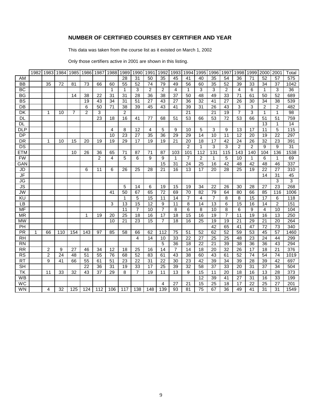## **NUMBER OF CERTIFIED COURSES BY CERTIFIER AND YEAR**

This data was taken from the course list as it existed on March 1, 2002

Only those certifiers active in 2001 are shown in this listing.

|                          | 1982        | 1983           | 1984 | 1985           | 1986           | 1987           | 1988                     | 1989           | 1990           | 1991 | 1992           | 1993           | 1994           | 1995         | 1996           | 1997           | 1998           | 1999           | 2000 | 2001         | Total           |
|--------------------------|-------------|----------------|------|----------------|----------------|----------------|--------------------------|----------------|----------------|------|----------------|----------------|----------------|--------------|----------------|----------------|----------------|----------------|------|--------------|-----------------|
| AM                       |             |                |      |                |                |                |                          | 28             | 31             | 50   | 35             | 45             | 41             | 40           | 35             | 54             | 36             | 71             | 52   | 57           | 575             |
| <b>BB</b>                |             | 35             | 72   | 81             | 73             | 66             | 60                       | 55             | 52             | 74   | 79             | 49             | 56             | 60           | 35             | 52             | 39             | 33             | 34   | 37           | 1042            |
| BC                       |             |                |      |                |                |                | $\mathbf{1}$             | $\mathbf{1}$   | 3              | 2    | 2              | 4              | 1              | 3            | 3              | $\overline{2}$ | 4              | 6              | 1    | 3            | $\overline{36}$ |
| <b>BG</b>                |             |                |      | 14             | 38             | 22             | 31                       | 31             | 28             | 36   | 38             | 37             | 50             | 48           | 49             | 33             | 71             | 61             | 50   | 52           | 689             |
| <b>BS</b>                |             |                |      |                | 19             | 43             | 34                       | 31             | 51             | 27   | 43             | 27             | 36             | 32           | 41             | 27             | 26             | 30             | 34   | 38           | 539             |
| DB                       |             |                |      |                | 6              | 50             | 71                       | 38             | 39             | 45   | 43             | 41             | 39             | 31           | 26             | 43             | 3              | 3              | 2    | 2            | 482             |
| DK                       |             | 1              | 10   | $\overline{7}$ | $\overline{2}$ | 3              |                          | $\overline{2}$ |                |      |                |                | 21             |              | 21             | 19             | $\overline{7}$ | 3              | 1    | $\mathbf{1}$ | 98              |
| DL                       |             |                |      |                |                | 23             | 18                       | 16             | 41             | 77   | 68             | 51             | 53             | 66           | 53             | 72             | 53             | 66             | 51   | 51           | 759             |
| <b>DL</b>                |             |                |      |                |                |                |                          |                |                |      |                |                |                |              |                |                |                |                | 13   | 1            | 14              |
| <b>DLP</b>               |             |                |      |                |                |                | 4                        | 8              | 12             | 4    | 5              | 9              | 10             | 5            | 3              | 9              | 13             | 17             | 11   | 5            | 115             |
| <b>DP</b>                |             |                |      |                |                |                | 10                       | 23             | 27             | 35   | 36             | 29             | 29             | 14           | 10             | 11             | 12             | 20             | 19   | 22           | 297             |
| <b>DR</b>                |             | 1              | 10   | 15             | 20             | 19             | 19                       | 29             | 17             | 19   | 19             | 21             | 20             | 18           | 17             | 42             | 24             | 26             | 32   | 23           | 391             |
| DS                       |             |                |      |                |                |                |                          |                |                |      |                |                | $\overline{2}$ | $\mathbf{1}$ | 3              | 3              | 2              | $\overline{2}$ | 9    | 9            | $\overline{31}$ |
| <b>ETM</b>               |             |                |      | 10             | 26             | 36             | 65                       | 71             | 87             | 71   | 87             | 103            | 101            | 112          | 131            | 115            | 143            | 140            | 104  | 136          | 1538            |
| <b>FW</b>                |             |                |      |                |                | $\overline{2}$ | $\overline{\mathcal{A}}$ | 5              | 6              | 9    | 9              | $\mathbf 1$    | $\overline{7}$ | 2            | $\mathbf{1}$   | 5              | 10             | $\mathbf{1}$   | 6    | 1            | 69              |
| GAN                      |             |                |      |                |                |                |                          |                |                |      | 15             | 31             | 24             | 25           | 16             | 42             | 48             | 42             | 48   | 46           | 337             |
| JD                       |             |                |      |                | 6              | 11             | 6                        | 26             | 25             | 28   | 21             | 16             | 13             | 17           | 20             | 28             | 25             | 19             | 22   | 27           | 310             |
| JF                       |             |                |      |                |                |                |                          |                |                |      |                |                |                |              |                |                |                |                | 14   | 31           | 45              |
| JG                       |             |                |      |                |                |                |                          |                |                |      |                |                |                |              |                |                |                |                |      | 3            | 3               |
| $\overline{\mathsf{JS}}$ |             |                |      |                |                |                |                          | 5              | 14             | 6    | 19             | 15             | 19             | 34           | 22             | 26             | 30             | 28             | 27   | 23           | 268             |
| <b>JW</b>                |             |                |      |                |                |                | 41                       | 50             | 67             | 65   | 72             | 69             | 70             | 82           | 79             | 64             | 80             | 66             | 85   | 116          | 1006            |
| KU                       |             |                |      |                |                |                |                          | $\mathbf{1}$   | 5              | 15   | 11             | 14             | 7              | 4            | $\overline{7}$ | 8              | 8              | 15             | 17   | 6            | 118             |
| LB                       |             |                |      |                |                |                | 3                        | 13             | 15             | 12   | 9              | 11             | 8              | 14           | 13             | 6              | 15             | 16             | 14   | 2            | 151             |
| MF                       |             |                |      |                |                |                |                          | 11             | 7              | 10   | 7              | 8              | 6              | 8            | 10             | 8              | 6              | 9              | 4    | 10           | 104             |
| <b>MR</b>                |             |                |      |                | 1              | 19             | 20                       | 25             | 18             | 16   | 17             | 18             | 15             | 16           | 19             | $\overline{7}$ | 11             | 19             | 16   | 13           | 250             |
| <b>MW</b>                |             |                |      |                |                |                | 10                       | 21             | 23             | 15   | $\overline{7}$ | 18             | 16             | 25           | 19             | 19             | 21             | 29             | 21   | 20           | 264             |
| PH                       |             |                |      |                |                |                |                          |                |                |      |                |                |                |              | 42             | 65             | 41             | 47             | 72   | 73           | 340             |
| <b>PR</b>                | $\mathbf 1$ | 66             | 110  | 154            | 143            | 97             | 85                       | 58             | 66             | 62   | 112            | 75             | 51             | 52           | 62             | 52             | 59             | 53             | 45   | 57           | 1460            |
| <b>RH</b>                |             |                |      |                |                |                |                          |                | 4              | 14   | 10             | 33             | 22             | 27           | 25             | 25             | 48             | 23             | 24   | 44           | 299             |
| <b>RN</b>                |             |                |      |                |                |                |                          |                |                |      | 5              | 36             | 18             | 22           | 21             | 39             | 38             | 36             | 36   | 43           | 294             |
| <b>RR</b>                |             | $\overline{2}$ | 9    | 27             | 46             | 34             | 12                       | 18             | 25             | 16   | 14             | $\overline{7}$ | 14             | 18           | 20             | 32             | 26             | 17             | 18   | 21           | 376             |
| <b>RS</b>                |             | 2              | 24   | 48             | 51             | 55             | 76                       | 68             | 52             | 83   | 61             | 43             | 38             | 60           | 43             | 61             | 52             | 74             | 54   | 74           | 1019            |
| <b>RT</b>                |             | 9              | 41   | 66             | 55             | 61             | 51                       | 23             | 22             | 31   | 22             | 30             | 23             | 42           | 39             | 34             | 39             | 28             | 39   | 42           | 697             |
| <b>SH</b>                |             |                |      |                | 22             | 36             | 31                       | 19             | 33             | 17   | 25             | 39             | 32             | 58           | 37             | 33             | 20             | 31             | 37   | 34           | 504             |
| TK                       |             | 11             | 33   | 32             | 43             | 37             | 29                       | 8              | $\overline{7}$ | 19   | 11             | 13             | 9              | 15           | 11             | 20             | 18             | 16             | 13   | 28           | 373             |
| <b>WB</b>                |             |                |      |                |                |                |                          |                |                |      |                |                |                | 12           | 39             | 41             | 27             | 31             | 16   | 33           | 199             |
| <b>WC</b>                |             |                |      |                |                |                |                          |                |                |      | 4              | 27             | 21             | 15           | 25             | 18             | 17             | 22             | 25   | 27           | 201             |
| <b>WN</b>                |             | 4              | 32   | 125            | 124            | 112            | 106                      | 117            | 138            | 148  | 139            | 93             | 81             | 75           | 67             | 36             | 49             | 41             | 31   | 31           | 1549            |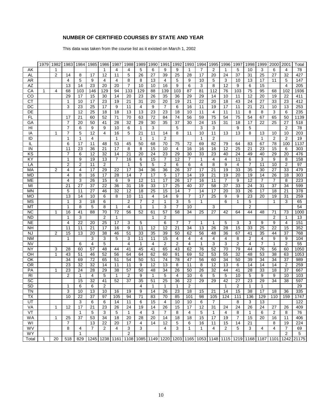#### **NUMBER OF CERTIFIED COURSES BY STATE AND YEAR**

This data was taken from the course list as it existed on March 1, 2002

|                | 1979         | 1982           | 1983           | 1984            | 1985            | 1986           | 1987         | 1988           | 1989            | 1990           | 1991           | 1992           | 1993           | 1994         | 1995           | 1996         | 1997           | 1998         | 1999 | 2000           | 2001           | Total                                                                                                                                    |
|----------------|--------------|----------------|----------------|-----------------|-----------------|----------------|--------------|----------------|-----------------|----------------|----------------|----------------|----------------|--------------|----------------|--------------|----------------|--------------|------|----------------|----------------|------------------------------------------------------------------------------------------------------------------------------------------|
| AK             |              | $\mathbf 1$    |                |                 |                 | $\mathbf 1$    | 4            | 4              | 5               | 6              | 9              | 9              | 1              | 7            | 2              | 1            | 5              | 10           | 3    | 6              | 4              | $\overline{78}$                                                                                                                          |
| AL             |              | $\overline{2}$ | 14             | 8               | 17              | 12             | 11           | 5              | 26              | 27             | 39             | 25             | 28             | 17           | 20             | 24           | 37             | 31           | 25   | 27             | 32             | 427                                                                                                                                      |
| AR             |              |                | 4              | 5               | 9               | 4              | 4            | 8              | 8               | 13             | 4              | 5              | 9              | 10           | 5              | 3            | 10             | 13           | 17   | 11             | 5              | 147                                                                                                                                      |
| AZ             |              |                | 13             | 14              | 23              | 20             | 20           | 7              | 10              | 10             | 16             | 9              | 6              | 3            | 8              | 12           | 9              | 6            | 15   |                | 4              | 205                                                                                                                                      |
| CA             | 1            | $\overline{4}$ | 68             | 103             | 146             | 129            | 94           | 133            | 129             | 88             | 139            | 103            | 87             | 81           | 112            | 76           | 103            | 75           | 95   | 68             | 102            | 1936                                                                                                                                     |
| CO             |              |                | 29             | 17              | 15              | 30             | 14           | 20             | 23              | 26             | 35             | 36             | 29             | 29           | 14             | 10           | 11             | 12           | 20   | 19             | 22             | 411                                                                                                                                      |
| $\overline{C}$ |              |                | 1              | 10              | 17              | 23             | 19           | 21             | 31              | 20             | 20             | 19             | 21             | 22           | 20             | 18           | 43             | 24           | 27   | 33             | 23             | 412                                                                                                                                      |
| DC             |              |                | 3              | 23              | 25              | 17             | 9            | 11             | 4               | 9              | 7              | 6              | 16             | 11           | 19             | 17           | 11             | 21           | 21   | 10             | 13             | 253                                                                                                                                      |
| DE             |              |                |                | 12              | 25              | 18             | 18           | 13             | 13              | 23             | 23             | 18             | 10             | 11           | 4              | 11           | 11             | 8            | 8    | 3              | 6              | 235                                                                                                                                      |
| FL             |              |                | 17             | 21              | 60              | 52             | 71           | 70             | 63              | 72             | 84             | 74             | 56             | 59           | 75             | 54           | 75             | 54           | 67   | 65             | 50             | 1139                                                                                                                                     |
| GA             |              |                | $\overline{7}$ | 20              | 50              | 41             | 28           | 32             | 29              | 30             | 35             | 37             | 30             | 24           | 15             | 31           | 18             | 17           | 22   | 25             | 27             | 518                                                                                                                                      |
| HI             |              |                | $\overline{7}$ | 6               | 9               | 9              | 10           | 6              | 1               | 3              |                | 5              |                | 3            | 3              |              | 9              | 5            |      |                | $\overline{2}$ | 78                                                                                                                                       |
| IA             |              | $\mathbf{1}$   | 7              | 5               | 12              | 4              | 16           | 5              | 21              | 11             | 14             | 8              | 11             | 10           | 11             | 13           | 13             | 8            | 13   | 10             | 10             | 203                                                                                                                                      |
| ID             |              |                | 1              | 1               | 4               |                | 1            |                | 1               | $\mathbf 1$    | $\overline{2}$ |                |                | $\mathbf 1$  | 2              |              |                |              | 1    | 2              | 2              | 19                                                                                                                                       |
|                |              |                |                | 17              |                 |                | 53           | 45             |                 |                |                | 75             | 72             |              | 82             | 79           | 64             | 83           | 67   | 78             |                | 1137                                                                                                                                     |
| IL             |              |                | 6              |                 | 11              | 48             |              |                | 50              | 68             | 70             |                |                | 69           |                |              |                |              |      |                | 100            |                                                                                                                                          |
| IN             |              |                | 11             | 23              | 36              | 21             | 17           | 8              | 8               | 15             | 10             | 4              | 16             | 16           | 16             | 12           | 25             | 21           | 23   | 15             | 6              | 303                                                                                                                                      |
| KS             |              |                | 7              | 6               | 12              | 32             | 14           | 21             | 20              | 24             | 23             | 29             | 30             | 33           | 23             | 40           | 24             | 49           | 40   | 29             | 20             | 476                                                                                                                                      |
| KY             |              |                | 1              | 9               | 19              | 13             | 7            | 16             | 6               | 15             | 7              | 12             | 7              | $\mathbf{1}$ | 4              | 4            | 11             | 6            | 3    | 9              | 8              | 158                                                                                                                                      |
| LA             |              |                | $\overline{2}$ | 2               | 11              | 2              |              | 1              | 5               | 5              | 2              | 6              | 6              | 4            | 8              | 9            | 4              | 7            | 11   | 10             | 2              | 97                                                                                                                                       |
| MA             |              | $\overline{2}$ | 4              | 4               | 17              | 29             | 22           | 17             | 34              | 36             | 36             | 26             | 37             | 17           | 21             | 19           | 33             | 35           | 30   | 27             | 33             | 479                                                                                                                                      |
| <b>MD</b>      |              |                | 4              | 8               | 16              | 17             | 28           | 14             | $\overline{7}$  | 17             | 5              | 17             | 14             | 19           | 21             | 19           | 20             | 19           | 14   | 26             | 18             | 303                                                                                                                                      |
| ME             |              |                | 4              | 3               | 26              | 15             | 6            | 9              | 12              | 11             | 17             | 26             | 17             | 16           | 11             | 7            | 9              | 12           | 7    | 7              | 8              | 223                                                                                                                                      |
| MI             |              |                | 21             | 27              | 37              | 22             | 36           | 31             | 19              | 33             | 17             | 25             | 40             | 37           | 58             | 37           | 33             | 24           | 31   | 37             | 34             | 599                                                                                                                                      |
| <b>MN</b>      |              |                | 5              | 11              | 27              | 46             | 32           | 12             | 18              | 25             | 15             | 14             | 7              | 14           | 17             | 20           | 33             | 26           | 17   | 18             | 21             | 378                                                                                                                                      |
| MO             |              |                | 13             | 14              | 10              | 6              | 8            | 10             | 11              | 4              | 14             | 9              | 7              | 17           | 25             | 9            | 9              | 23           | 20   | 19             | 31             | 259                                                                                                                                      |
| MS             |              |                | 1              | 3               | 18              | 6              |              | $\overline{2}$ | $\overline{7}$  | $\overline{2}$ | $\mathbf{1}$   | 3              | 5              | $\mathbf{1}$ |                | 6            | $\mathbf 1$    | 5            |      | 1              | 3              | 65                                                                                                                                       |
| МT             |              |                | 1              | 8               | 5               | 8              | 1            | 4              | 1               | $\mathbf{1}$   | 3              | $\overline{7}$ | 10             |              | 3              |              |                | 2            |      |                |                | 54                                                                                                                                       |
| NC             |              | 1              | 16             | 41              | 88              | 70             | 72           | 56             | 52              | 61             | 57             | 58             | 34             | 25           | 27             | 42           | 64             | 44           | 48   | 71             | 73             | 1000                                                                                                                                     |
| <b>ND</b>      |              |                | 1              | 3               |                 | $\overline{2}$ | $\mathbf{1}$ |                |                 | $\mathbf{1}$   | $\overline{2}$ |                |                |              |                |              |                |              |      | $\overline{2}$ | $\mathbf{1}$   | 13                                                                                                                                       |
| <b>NE</b>      |              |                | 4              | 22              | 20              | 25             | 17           | 3              | 5               |                | 6              | 7              | 7              | $\mathbf 1$  | 1              | 5            | 3              | 3            | 9    | 9              | 4              | 151                                                                                                                                      |
| <b>NH</b>      |              |                | 11             | 11              | 21              | 17             | 16           | 9              | 11              | 12             | 12             | 21             | 34             | 13           | 26             | 28           | 15             | 33           | 25   | 22             | 15             | 352                                                                                                                                      |
| <b>NJ</b>      |              | $\overline{2}$ | 15             | 13              | 20              | 38             | 46           | 51             | 33              | 35             | 39             | 50             | 62             | 56           | 48             | 36           | 67             | 41           | 35   | 44             | 37             | 768                                                                                                                                      |
| <b>NM</b>      |              |                | 1              |                 | 3               | 3              | 5            | 3              | 11              | 11             | 15             | 4              | 4              | 4            | 4              | 4            | 8              | 2            | 4    | 9              | 9              | 104                                                                                                                                      |
| <b>NV</b>      |              |                |                | 6               | $\overline{4}$  | 5              |              | 4              | 1               | 4              | 2              | $\overline{2}$ | 4              | 1            | 3              | 3            | $\overline{2}$ | 4            | 7    | $\mathbf{1}$   | 2              | 55                                                                                                                                       |
| NY             |              | 3              | 28             | 60              | 57              | 48             | 44           | 41             | 45              | 41             | 65             | 43             | 62             | 76           | 52             | 70           | 79             | 44           | 76   | 56             | 60             | 1050                                                                                                                                     |
| OH             |              | $\mathbf{1}$   | 43             | 51              | 46              | 52             | 56           | 64             | 64              | 62             | 60             | 91             | 69             | 52           | 53             | 55           | 32             | 48           | 53   | 38             | 63             | 1053                                                                                                                                     |
| OK             |              |                | 34             | 69              | 72              | 65             | 51           | 54             | 50              | 51             | 74             | 78             | 47             | 56           | 60             | 34           | 50             | 39           | 34   | 34             | 37             | 989                                                                                                                                      |
| OR             |              |                | 23             | 32              | 32              | 14             | 11           | 11             | 9               | 12             | 13             | 8              | 11             | 8            | 12             | 13           | 6              | 14           | 14   | 14             | 2              | 259                                                                                                                                      |
| PA             |              | 1              | 23             | 24              | 28              | 29             | 38           | 57             | 50              | 48             | 34             | 26             | 50             | 26           | 32             | 44           | 41             | 28           | 33   | 18             | 37             | 667                                                                                                                                      |
| R <sub>l</sub> |              |                | $\overline{2}$ | 1               | 4               | 5              | 1            | 2              | 9               | $\mathbf{1}$   | 5              | 4              | 10             | 6            | 5              | 5            | 10             | 5            | 9    | 9              | 10             | 103                                                                                                                                      |
| SC             |              |                |                | 15              | 32              | 41             | 52           | 37             | 35              | 51             | 25             | 36             | 22             | 29           | 29             | 42           | 27             | 23           | 29   | 34             | 38             | 597                                                                                                                                      |
| SD             |              |                | 1              | 6               | 6               | $\overline{2}$ |              |                | 4               | $\mathbf 1$    | 1              | 1              | $\overline{2}$ |              |                | $\mathbf{1}$ | $\overline{2}$ | $\mathbf 1$  | 1    |                |                | 29                                                                                                                                       |
| <b>TN</b>      |              |                | 3              | 10              | 13              | 10             | 16           | 19             | 9               | 14             | 26             | 23             | 18             | 15           | 21             | 14           | 15             | 38           | 17   | 18             | 36             | 335                                                                                                                                      |
| TΧ             |              |                | 10             | $\overline{22}$ | $\overline{37}$ | 97             | 105          | 94             | $\overline{71}$ | 83             | 70             | 85             | 101            | 98           | 105            | 124          | 111            | 136          | 129  | 110            | 159            | 1747                                                                                                                                     |
| UT             |              |                |                | 3               | 6               | 6              | 14           | 11             | 6               | 15             | 4              | 10             | 10             | 6            | $\overline{7}$ |              | 8              | 3            | 13   |                |                | 122                                                                                                                                      |
| VA             |              | $\mathbf 1$    | 12             | 17              | 21              | 23             | 26           | 24             | 19              | 14             | 26             | 15             | 17             | 12           | 31             | 24           | 24             | 26           | 24   | 27             | 26             | 409                                                                                                                                      |
| VT             |              |                |                | $\mathbf{1}$    | 5               | 3              | 5            | $\mathbf{1}$   | 4               | 3              | 7              | 8              | 4              | 5            | 1              | 4            | 8              | $\mathbf{1}$ | 6    | 2              | 8              | 76                                                                                                                                       |
| <b>WA</b>      |              | $\mathbf{1}$   | 25             | 37              | 53              | 34             | 18           | 20             | 28              | 20             | 14             | 18             | 18             | 15           | 17             | 19           | $\overline{7}$ | 15           | 20   | 16             | 11             | 406                                                                                                                                      |
| WI             |              |                | 7              |                 | 13              | 22             | 20           | 17             | 4               | 14             | 12             | 5              | 6              | 16           | 11             | 15           | 14             | 21           |      | 8              | 19             | 224                                                                                                                                      |
| WV             |              |                | 8              | 4               | 7               | 2              | 4            | 3              | 3               |                | 4              | 3              | 1              | $\mathbf{1}$ | 4              | 2            | 5              | 3            | 4    | 4              | 7              | 69                                                                                                                                       |
| WY             |              |                |                | $\mathbf{1}$    |                 |                |              | $\overline{2}$ |                 |                |                |                |                |              |                |              |                |              |      |                | $\overline{2}$ | 5                                                                                                                                        |
| Total          | $\mathbf{1}$ | 20             |                |                 |                 |                |              |                |                 |                |                |                |                |              |                |              |                |              |      |                |                | 518   829   1245   1238   1161   1108   1085   1149   1220   1203   1165   1053   1148   1115   1219   1168   1187   1101   1242   21175 |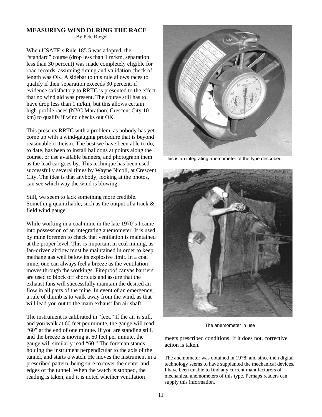# **MEASURING WIND DURING THE RACE**

By Pete Riegel

When USATF's Rule 185.5 was adopted, the "standard" course (drop less than 1 m/km, separation less than 30 percent) was made completely eligible for road records, assuming timing and validation check of length was OK. A sidebar to this rule allows races to qualify if their separation exceeds 30 percent, if evidence satisfactory to RRTC is presented to the effect that no wind aid was present. The course still has to have drop less than 1 m/km, but this allows certain high-profile races (NYC Marathon, Crescent City 10 km) to qualify if wind checks out OK.

This presents RRTC with a problem, as nobody has yet come up with a wind-gauging procedure that is beyond reasonable criticism. The best we have been able to do, to date, has been to install balloons at points along the course, or use available banners, and photograph them as the lead car goes by. This technique has been used successfully several times by Wayne Nicoll, at Crescent City. The idea is that anybody, looking at the photos, can see which way the wind is blowing.

Still, we seem to lack something more credible. Something quantifiable, such as the output of a track & field wind gauge.

While working in a coal mine in the late 1970's I came into possession of an integrating anemometer. It is used by mine foremen to check that ventilation is maintained at the proper level. This is important in coal mining, as fan-driven airflow must be maintained in order to keep methane gas well below its explosive limit. In a coal mine, one can always feel a breeze as the ventilation moves through the workings. Fireproof canvas barriers are used to block off shortcuts and assure that the exhaust fans will successfully maintain the desired air flow in all parts of the mine. In event of an emergency, a rule of thumb is to walk away from the wind, as that will lead you out to the main exhaust fan air shaft.

The instrument is calibrated in "feet." If the air is still, and you walk at 60 feet per minute, the gauge will read "60" at the end of one minute. If you are standing still, and the breeze is moving at 60 feet per minute, the gauge will similarly read "60." The foreman stands holding the instrument perpendicular to the axis of the tunnel, and starts a watch. He moves the instrument in a prescribed pattern, being sure to cover the center and edges of the tunnel. When the watch is stopped, the reading is taken, and it is noted whether ventilation



This is an integrating anemometer of the type described.



The anemometer in use

meets prescribed conditions. If it does not, corrective action is taken.

The anemometer was obtained in 1978, and since then digital technology seems to have supplanted the mechanical devices. I have been unable to find any current manufacturers of mechanical anemometers of this type. Perhaps readers can supply this information.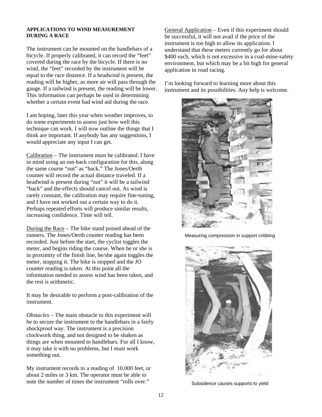#### **APPLICATIONS TO WIND MEASUREMENT DURING A RACE**

The instrument can be mounted on the handlebars of a bicycle. If properly calibrated, it can record the "feet" covered during the race by the bicycle. If there is no wind, the "feet" recorded by the instrument will be equal to the race distance. If a headwind is present, the reading will be higher, as more air will pass through the gauge. If a tailwind is present, the reading will be lower. This information can perhaps be used in determining whether a certain event had wind aid during the race.

I am hoping, later this year when weather improves, to do some experiments to assess just how well this technique can work. I will now outline the things that I think are important. If anybody has any suggestions, I would appreciate any input I can get.

Calibration – The instrument must be calibrated. I have in mind using an out-back configuration for this, along the same course "out" as "back." The Jones/Oerth counter will record the actual distance traveled. If a headwind is present during "out" it will be a tailwind "back" and the effects should cancel out. As wind is rarely constant, the calibration may require fine-tuning, and I have not worked out a certain way to do it. Perhaps repeated efforts will produce similar results, increasing confidence. Time will tell.

During the Race – The bike stand poised ahead of the runners. The Jones/Oerth counter reading has been recorded. Just before the start, the cyclist toggles the meter, and begins riding the course. When he or she is in proximity of the finish line, he/she again toggles the meter, stopping it. The bike is stopped and the JO counter reading is taken. At this point all the information needed to assess wind has been taken, and the rest is arithmetic.

It may be desirable to perform a post-calibration of the instrument.

*Obstacles –* The main obstacle to this experiment will be to secure the instrument to the handlebars in a fairly shockproof way. The instrument is a precision clockwork thing, and not designed to be shaken as things are when mounted to handlebars. For all I know, it may take it with no problems, but I must work something out.

My instrument records to a reading of 10,000 feet, or about 2 miles or 3 km. The operator must be able to note the number of times the instrument "rolls over."

General Application – Even if this experiment should be successful, it will not avail if the price of the instrument is too high to allow its application. I understand that these meters currently go for about \$400 each, which is not excessive in a coal-mine-safety environment, but which may be a bit high for general application in road racing.

I'm looking forward to learning more about this instrument and its possibilities. Any help is welcome.



Measuring compression in support cribbing



Subsidence causes supports to yield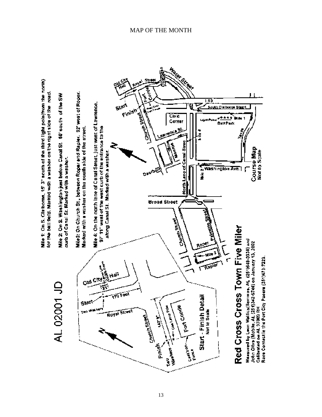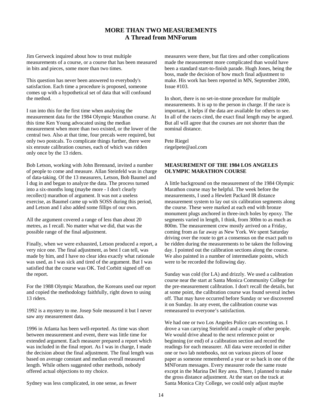#### **MORE THAN TWO MEASUREMENTS A Thread from MNForum**

Jim Gerweck inquired about how to treat multiple measurements of a course, or a course that has been measured in bits and pieces, some more than two times.

This question has never been answered to everybody's satisfaction. Each time a procedure is proposed, someone comes up with a hypothetical set of data that will confound the method.

I ran into this for the first time when analyzing the measurement data for the 1984 Olympic Marathon course. At this time Ken Young advocated using the median measurement when more than two existed, or the lower of the central two. Also at that time, four precals were required, but only two postcals. To complicate things further, there were six enroute calibration courses, each of which was ridden only once by the 13 riders.

Bob Letson, working with John Brennand, invited a number of people to come and measure. Allan Steinfeld was in charge of data-taking. Of the 13 measurers, Letson, Bob Baumel and I dug in and began to analyze the data. The process turned into a six-months long (maybe more - I don't clearly recollect) marathon of argument. It was not a useless exercise, as Baumel came up with SOSS during this period, and Letson and I also added some fillips of our own.

All the argument covered a range of less than about 20 metres, as I recall. No matter what we did, that was the possible range of the final adjustment.

Finally, when we were exhausted, Letson produced a report, a very nice one. The final adjustment, as best I can tell, was made by him, and I have no clear idea exactly what rationale was used, as I was sick and tired of the argument. But I was satisfied that the course was OK. Ted Corbitt signed off on the report.

For the 1988 Olympic Marathon, the Koreans used our report and copied the methodology faithfully, right down to using 13 riders.

1992 is a mystery to me. Josep Sole measured it but I never saw any measurement data.

1996 in Atlanta has been well-reported. As time was short between measurement and event, there was little time for extended argument. Each measurer prepared a report which was included in the final report. As I was in charge, I made the decision about the final adjustment. The final length was based on average constant and median overall measured length. While others suggested other methods, nobody offered actual objections to my choice.

measurers were there, but flat tires and other complications made the measurement more complicated than would have been a standard start-to-finish parade. Hugh Jones, being the boss, made the decision of how much final adjustment to make. His work has been reported in MN, September 2000, Issue #103.

In short, there is no set-in-stone procedure for multiple measurements. It is up to the person in charge. If the race is important, it helps if the data are available for others to see. In all of the races cited, the exact final length may be argued. But all will agree that the courses are not shorter than the nominal distance.

Pete Riegel riegelpete@aol.com

#### **MEASUREMENT OF THE 1984 LOS ANGELES OLYMPIC MARATHON COURSE**

A little background on the measurement of the 1984 Olympic Marathon course may be helpful. The week before the measurements, I used a Hewlett Packard IR distance measurement system to lay out six calibration segments along the course. These were marked at each end with bronze monument plugs anchored in three-inch holes by epoxy. The segments varied in length, I think, from 300m to as much as 800m. The measurement crew mostly arrived on a Friday, coming from as far away as New York. We spent Saturday driving over the route to get a consensus on the exact path to be ridden during the measurements to be taken the following day. I pointed out the calibration sections along the course. We also painted in a number of intermediate points, which were to be recorded the following day.

Sunday was cold (for LA) and drizzly. We used a calibration course near the start at Santa Monica Community College for the pre-measurement calibration. I don't recall the details, but at some point, the calibration course was found several inches off. That may have occurred before Sunday or we discovered it on Sunday. In any event, the calibration course was remeasured to everyone's satisfaction.

We had one or two Los Angeles Police cars escorting us. I drove a van carrying Steinfeld and a couple of other people. We would drive ahead to the next reference point or beginning (or end) of a calibration section and record the readings for each measurer. All data were recorded in either one or two lab notebooks, not on various pieces of loose paper as someone remembered a year or so back in one of the MNForum messages. Every measurer rode the same route except in the Marina Del Rey area. There, I planned to make the gross distance adjustment. At the start on the track at Santa Monica City College, we could only adjust maybe

Sydney was less complicated, in one sense, as fewer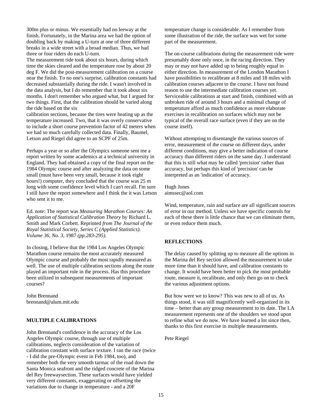300m plus or minus. We essentially had no leeway at the finish. Fortunately, in the Marina area we had the option of doubling back by making a U-turn at one of three different breaks in a wide street with a broad median. Thus, we had three or four riders do each U-turn.

The measurement ride took about six hours, during which time the skies cleared and the temperature rose by about 20 deg F. We did the post-measurement calibration on a course near the finish. To no one's surprise, calibration constants had decreased substantially during the ride. I wasn't involved in the data analysis, but I do remember that it took about six months. I don't remember who argued what, but I argued for two things. First, that the calibration should be varied along the ride based on the six

calibration sections, because the tires were heating up as the temperature increased. Two, that it was overly conservative to include a short course prevention factor of 42 meters when we had so much carefully collected data. Finally, Baumel, Letson and Riegel did agree to an SCPF of 25m.

Perhaps a year or so after the Olympics someone sent me a report written by some academics at a technical university in England. They had obtained a copy of the final report on the 1984 Olympic course and after analyzing the data on some small (must have been very small, because it took eight hours!) computer, they concluded that the course was 25 m long with some confidence level which I can't recall. I'm sure I still have the report somewhere and I think the it was Letson who sent it to me.

Ed. note: The report was *Measuring Marathon Courses: An Application of Statistical Calibration Theory* by Richard L. Smith and Mark Corbett. Reprinted *from The Journal of the Royal Statistical Society, Series C (Applied Statistics). Volume 36, No. 3,* 1987 *(pp.283-295).*

In closing, I believe that the 1984 Los Angeles Olympic Marathon course remains the most accurately measured Olympic course and probably the most rapidly measured as well. The use of multiple calibration sections along the route played an important role in the process. Has this procedure been utilized in subsequent measurements of important courses?

John Brennand brennand@alum.mit.edu

#### **MULTIPLE CALIBRATIONS**

John Brennand's confidence in the accuracy of the Los Angeles Olympic course, through use of multiple calibrations, neglects consideration of the variation of calibration constant with surface texture. I ran the race (twice - I did the pre-Olympic event in Feb 1984, too), and remember both the very smooth tarmac of the road down the Santa Monica seafront and the ridged concrete of the Marina del Rey freewaysection. These surfaces would have yielded very different constants, exaggerating or offsetting the variations due to change in temperature - and a 20F

temperature change is considerable. As I remember from some illustration of the ride, the surface was wet for some part of the measurement.

The on-course calibrations during the measurement ride were presumably done only once, in the racing direction. They may or may not have added up to being roughly equal in either direction. In measurement of the London Marathon I have possibilities to recalibrate at 8 miles and 18 miles with calibration courses adjacent to the course. I have not found reason to use the intermediate calibration courses yet. Serviceable calibrations at start and finish, combined with an unbroken ride of around 3 hours and a minimal change of temperature afford as much confidence as more elaborate exercises in recalibration on surfaces which may not be typical of the overall race surface (even if they are on the course itself).

Without attempting to disentangle the various sources of error, measurement of the course on different days, under different conditions, may give a better indication of course accuracy than different riders on the same day. I understand that this is still what may be called 'precision' rather than accuracy, but perhaps this kind of 'precision' can be interpreted as an 'indication' of accuracy.

Hugh Jones aimssec@aol.com

Wind, temperature, rain and surface are all significant sources of error in our method. Unless we have specific controls for each of these there is little chance that we can eliminate them, or even reduce them much.

#### **REFLECTIONS**

The delay caused by splitting up to measure all the options in the Marina del Rey section allowed the measurement to take more time than it should have, and calibration constants to change. It would have been better to pick the most probable route, measure it, recalibrate, and only then go on to check the various adjustment options.

But how were we to know? This was new to all of us. As things stood, it was still magnificently well-organized in its time – better than any group measurement to its date. The LA measurement represents one of the shoulders we stood upon to refine what we do now. We have learned a lot since then, thanks to this first exercise in multiple measurements.

Pete Riegel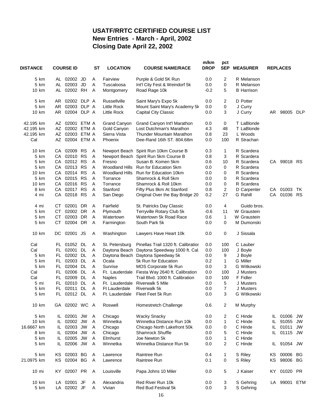## **USATF/RRTC CERTIFIED COURSE LIST New Entries - March - April, 2002 Closing Date April 22, 2002**

| <b>DISTANCE</b> | <b>COURSE ID</b> | <b>ST</b>                  | <b>LOCATION</b> | <b>COURSE NAME/RACE</b> | m/km<br><b>DROP</b>                            | pct<br><b>SEP</b> | <b>MEASURER</b> |                        | <b>REPLACES</b> |              |            |
|-----------------|------------------|----------------------------|-----------------|-------------------------|------------------------------------------------|-------------------|-----------------|------------------------|-----------------|--------------|------------|
| 5 km            |                  | AL 02002 JD                | Α               | Fairview                | Purple & Gold 5K Run                           | 0.0               | 2               | R Melanson             |                 |              |            |
| 5 km            |                  | AL 02003 JD                | Α               | Tuscaloosa              | Int'l City Fest & Weindorf 5k                  | 0.0               | 0               | R Melanson             |                 |              |            |
| 10 km           |                  | AL 02002 RH                | Α               | Montgomery              | Road Rage 10k                                  | $-0.2$            | 5               | <b>B</b> Harrison      |                 |              |            |
| 5 km            | AR               | 02002 DLP A                |                 | Russellville            | Saint Mary's Expo 5k                           | 0.0               | 2               | D Potter               |                 |              |            |
| 5 km            | AR.              | 02003 DLP A                |                 | <b>Little Rock</b>      | Mount Saint Mary's Academy 5k                  | 0.0               | 0               | J Curry                |                 |              |            |
| 10 km           |                  | AR 02004 DLP A             |                 | Little Rock             | <b>Capital City Classic</b>                    | 0.0               | 3               | J Curry                |                 | AR 98005     | <b>DLP</b> |
| 42.195 km       |                  | AZ 02001 ETM A             |                 | <b>Grand Canyon</b>     | Grand Canyon Int'l Marathon                    | 0.0               | 0               | T LaBlonde             |                 |              |            |
| 42.195 km       |                  | AZ 02002 ETM A             |                 | Gold Canyon             | Lost Dutchman's Marathon                       | 4.3               | 48              | T LaBlonde             |                 |              |            |
| 42.195 km       |                  | AZ 02003 ETM A             |                 | Sierra Vista            | <b>Thunder Mountain Marathon</b>               | 0.8               | 23              | L Woods                |                 |              |            |
| Cal             |                  | AZ 02004 ETM A             |                 | Phoenix                 | Dee-Rand 16th ST. 804.68m                      | 0.0               | 100             | R Strachan             |                 |              |            |
| 10 km           |                  | CA 02009 RS                | Α               |                         | Newport Beach Spirit Run 10km Course B         | 0.3               | 1               | R Scardera             |                 |              |            |
| 5 km            |                  | CA 02010 RS                | Α               | Newport Beach           | Spirit Run 5km Course B                        | 0.8               | 3               | R Scardera             |                 |              |            |
| 5 km            |                  | CA 02012 RS                | Α               | Fresno                  | Susan B. Komen 5km                             | 0.6               | 10              | R Scardera             |                 | CA 99018 RS  |            |
| 5 km            | CA               | 02013 RS                   | A               |                         | Woodland Hills Run for Education 5km           | 0.0               | 0               | R Scardera             |                 |              |            |
| 10 km           |                  | CA 02014 RS                | A               | Woodland Hills          | Run for Education 10km                         | 0.0               | 0               | R Scardera             |                 |              |            |
| 5 km            |                  | CA 02015 RS                | A               | Torrance                | Shamrock & Roll 5km                            | 0.0               | 0               | R Scardera             |                 |              |            |
| 10 km           |                  | CA 02016 RS                | A               | Torrance                | Shamrock & Roll 10km                           | 0.0               | 0               | R Scardera             |                 |              |            |
| 8 km            |                  | CA 02017 RS                | Α               | Stanford                | Fifty Plus 8km At Stanford                     | 0.8               | $\overline{c}$  | D Carpenter            |                 | CA 01003     | TK.        |
| 4 mi            |                  | CA 02018 RS                | Α               | San Diego               | Original Over the Bay Bridge 20                | 0.2               | 27              | G Rahill               | CA              | 01036        | <b>RS</b>  |
| 4 mi            |                  | CT 02001 DR                | Α               | Fairfield               | St. Patricks Day Classic                       | 0.0               | 4               | Guido bros.            |                 |              |            |
| 5 km            | <b>CT</b>        | 02002 DR                   | Α               | Plymouth                | Terryville Rotary Club 5k                      | $-0.6$            | 11              | W Graustein            |                 |              |            |
| 5 km            | CT.              | 02003 DR                   | Α               | Watertown               | Watertown 5k Road Race                         | 0.6               | $\mathbf 1$     | W Graustein            |                 |              |            |
| 5 km            | CT.              | 02004 DR                   | Α               | Farmington              | South Park 5k                                  | 0.0               | 0               | M Dumonski             |                 |              |            |
| 10 km           | DC.              | 02001 JS                   | Α               | Washington              | Lawyers Have Heart 10k                         | 0.0               | 0               | J Sissala              |                 |              |            |
| Cal             |                  | FL 01052 DL                | Α               | St. Petersburg          | Pinellas Trail 1320 ft. Calibration            | 0.0               | 100             | C Lauber               |                 |              |            |
| Cal             |                  | FL 02001 DL                | Α               |                         | Daytona Beach Daytona Speedway 1000 ft. Cal.   | 0.0               | 100             | J Boyle                |                 |              |            |
| 5 km            |                  | FL 02002 DL                | Α               |                         | Daytona Beach Daytona Speedway 5k              | 0.0               | 9               | J Boyle                |                 |              |            |
| 5 km            |                  | FL 02003 DL                | Α               | Ocala                   | 5k Run for Education                           | 0.2               | 1               | G Miller               |                 |              |            |
| 5 km            |                  | FL 02004 DL                | Α               | Sunrise                 | MOS Corporate 5k Run                           | 0.0               | 3               | G Witkowski            |                 |              |            |
| Cal             |                  | FL 02006 DL                | Α               |                         | Ft. Lauderdale Fiesta Way 2640 ft. Calibration | 0.0               | 100             | J Musters              |                 |              |            |
| Cal             |                  | FL 02009 DL                | Α               | <b>Naples</b>           | Trail Blvd. 1000 ft. Calibration               | 0.0               | 100             | F Fidler               |                 |              |            |
| 5 mi            |                  | FL 02010 DL                | Α               | Ft. Lauderdale          | <b>Riverwalk 5 Mile</b>                        | 0.0               | 5               | J Musters              |                 |              |            |
| 5 km            |                  | FL 02011 DL                | Α               | Ft Lauderdale           | <b>Riverwalk 5k</b>                            | 0.0               | $\overline{7}$  | J Musters              |                 |              |            |
| 5 km            | FL               | 02012 DL                   | A               |                         | Ft. Lauderdale Fleet Feet 5k Run               | 0.0               | 3               | G Witkowski            |                 |              |            |
| 10 km           |                  | GA 02002 WC A              |                 | Roswell                 | Homestretch Challenge                          | 0.6               | $\overline{2}$  | M Murphy               |                 |              |            |
| 5 km            |                  | IL 02001 JW                | Α               | Chicago                 | <b>Wacky Snacky</b>                            | 0.0               | 2               | C Hinde                | IL.             | 01006        | <b>JW</b>  |
| 10 km           | IL.              | 02002 JW                   | Α               | Winnetka                | Winnetka Distance Run 10k                      | 0.0               | $\mathbf 1$     | C Hinde                | IL.             | 91055        | JW         |
| 16.6667 km      |                  | IL 02003 JW                | A               | Chicago                 | Chicago North Lakefront 50k                    | 0.0               | 0               | C Hinde                |                 | IL 01011     | JW         |
| 8 km            |                  | IL 02004 JW                | Α               | Chicago                 | <b>Shamrock Shuffle</b>                        | 0.0               | 5               | C Hinde                | IL.             | 01115        | JW         |
| 5 km            |                  | IL 02005 JW                | A               | Elmhurst                | Joe Newton 5k                                  | 0.0               | $\mathbf{1}$    | C Hinde                |                 |              |            |
| 5 km            |                  | IL 02006 JW                | Α               | Winnetka                | Winnetka Distance Run 5k                       | 0.0               | 2               | C Hinde                |                 | IL 91054 JW  |            |
| 5 km            |                  | KS 02003 BG                | Α               | Lawrence                | Raintree Run                                   | 0.4               | 1               | S Riley                | KS              | 00006 BG     |            |
| 21.0975 km      |                  | KS 02004 BG                | Α               | Lawrence                | Raintree Run                                   | 0.1               | 0               | S Riley                | ΚS              | 98006        | BG         |
| $10 \text{ mi}$ |                  | KY 02007 PR                | Α               | Louisville              | Papa Johns 10 Miler                            | 0.0               | 5               | J Kaiser               | KY.             | 01020        | <b>PR</b>  |
| 10 km<br>5 km   |                  | LA 02001 JF<br>LA 02002 JF | Α<br>A          | Alexandria<br>Vivian    | Red River Run 10k<br>Red Bud Festival 5k       | 0.0<br>0.0        | 3<br>3          | S Gehring<br>S Gehring |                 | LA 99001 ETM |            |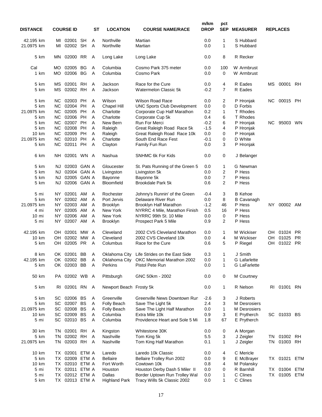| <b>DISTANCE</b>         |           | <b>COURSE ID</b>     |           | SТ     | <b>LOCATION</b>          | <b>COURSE NAME/RACE</b>                     | m/km<br><b>DROP</b> | pct<br><b>SEP</b> | <b>MEASURER</b>        |          | <b>REPLACES</b>      |           |
|-------------------------|-----------|----------------------|-----------|--------|--------------------------|---------------------------------------------|---------------------|-------------------|------------------------|----------|----------------------|-----------|
| 42.195 km<br>21.0975 km | MI<br>МI  | 02001<br>02002 SH    | <b>SH</b> | Α<br>Α | Northville<br>Northville | Martian<br>Martian                          | 0.0<br>0.0          | 1<br>1            | S Hubbard<br>S Hubbard |          |                      |           |
| 5 km                    | MN.       | 02000 RR             |           | A      | Long Lake                | Long Lake                                   | 0.0                 | 8                 | R Recker               |          |                      |           |
| Cal                     | МO        | 02005 BG             |           | Α      | Columbia                 | Cosmo Park 375 meter                        | 0.0                 | 100               | W Armbrust             |          |                      |           |
| 1 km                    | МO        | 02006 BG             |           | Α      | Columbia                 | Cosmo Park                                  | 0.0                 | 0                 | W Armbrust             |          |                      |           |
| 5 km                    | МS        | 02001 RH             |           | A      | Jackson                  | Race for the Cure                           | 0.0                 | 4                 | R Eades                | МS       | 00001                | <b>RH</b> |
| 5 km                    | <b>MS</b> | 02002 RH             |           | A      | Jackson                  | <b>Watermelon Classic 5k</b>                | $-0.2$              | 7                 | R Eades                |          |                      |           |
| 5 km                    | NC.       | 02003 PH             |           | Α      | Wilson                   | <b>Wilson Road Race</b>                     | 0.0                 | 2                 | P Hronjak              | NC.      | 00015 PH             |           |
| 5 km                    | NC.       | 02004 PH             |           | Α      | Chapel Hill              | <b>UNC Sports Club Development</b>          | 0.0                 | 0                 | D Forbis               |          |                      |           |
| 21.0975 km              | NC.       | 02005 PH             |           | Α      | Charlotte                | Corporate Cup Half Marathon                 | 0.2                 | 1                 | T Rhodes               |          |                      |           |
| 5 km                    | NC.       | 02006 PH             |           | Α      | Charlotte                | Corporate Cup 5k                            | 0.4                 | 6                 | T Rhodes               |          |                      |           |
| 5 km                    | NC.       | 02007 PH             |           | Α      | New Bern                 | <b>Run For Merci</b>                        | $-0.2$              | 6                 | P Hronjak              | NC.      | 95003                | <b>WN</b> |
| 5 km                    | NC.       | 02008 PH             |           | Α      | Raleigh                  | Great Raleigh Road Race 5k                  | $-1.5$              | $\overline{4}$    | P Hronjak              |          |                      |           |
| 10 km                   | NC.       | 02009 PH             |           | Α      | Raleigh                  | Great Raleigh Road Race 10k                 | 0.0                 | 0                 | P Hronjak              |          |                      |           |
| 21.0975 km              | NC.       | 02010                | <b>PH</b> | Α      | Charlotte                | South End Race Fest                         | $-0.1$              | 0                 | D White                |          |                      |           |
| 5 km                    | <b>NC</b> | 02011 PH             |           | A      | Clayton                  | Family Fun Run                              | 0.0                 | 3                 | P Hronjak              |          |                      |           |
| 6 km                    | NH .      | 02001 WN A           |           |        | Nashua                   | <b>SNHMC 6k For Kids</b>                    | 0.0                 | 0                 | J Belanger             |          |                      |           |
| 5 km                    | NJ.       | 02003 GAN A          |           |        | Gloucester               | St. Pats Running of the Green 5             | 0.0                 | 1                 | G Newman               |          |                      |           |
| 5 km                    | NJ.       | 02004 GAN A          |           |        | Livingston               | Livingston 5k                               | 0.0                 | 2                 | P Hess                 |          |                      |           |
| 5 km                    | NJ.       | 02005 GAN A          |           |        | Bayonne                  | Bayonne 5k                                  | 0.0                 | 7                 | P Hess                 |          |                      |           |
| 5 km                    | NJ.       | 02006 GAN A          |           |        | Bloomfield               | Brookdale Park 5k                           | 0.6                 | $\overline{2}$    | P Hess                 |          |                      |           |
| 5 mi                    | NY.       | 02001 AM             |           | Α      | Rochester                | Johnny's Runnin' of the Green               | $-0.4$              | 3                 | <b>B</b> Kehoe         |          |                      |           |
| 5 km                    | NY .      | 02002 AM             |           | Α      | Port Jervis              | Delaware River Run                          | 0.0                 | 8                 | <b>B</b> Cavanagh      |          |                      |           |
| 21.0975 km              | NY .      | 02003 AM             |           | Α      | <b>Brooklyn</b>          | Brooklyn Half Marathon                      | $-1.2$              | 46                | P Hess                 | NY.      | 00002                | AM        |
| 4 mi                    | NY.       | 02005 AM             |           | A      | New York                 | NYRRC 4 Mile, Marathon Finish               | 0.5                 | 16                | P Hess                 |          |                      |           |
| $10 \text{ mi}$         | NY I      | 02006 AM             |           | A      | New York                 | NYRRC 99th St. 10 Mile                      | 0.0                 | 0                 | P Hess                 |          |                      |           |
| 5 mi                    | NY.       | 02007 AM             |           | Α      | <b>Brooklyn</b>          | Prospect Park 5 Mile                        | 0.9                 | 2                 | P Hess                 |          |                      |           |
| 42.195 km               | OH.       | 02001                | MW        | A      | Cleveland                | 2002 CVS Cleveland Marathon                 | 0.0                 | 1                 | M Wickiser             | OH       | 01024                | <b>PR</b> |
| 10 km                   | OH        | 02002                | MW        | A      | Cleveland                | 2002 CVS Cleveland 10k                      | 0.0                 | 4                 | M Wickiser             | OH       | 01025                | PR.       |
| 5 km                    | OH        | 02005 PR             |           | Α      | Columbus                 | Race for the Cure                           | 0.6                 | 5                 | P Riegel               | OН       | 01022                | <b>PR</b> |
| 8 km                    |           | OK 02001 BB          |           | A      |                          | Oklahoma City Life Strides on the East Side | 0.3                 | 1                 | J Smith                |          |                      |           |
| 42.195 km               |           | OK 02002 BB          |           | A      | Oklahoma City            | OKC Memorial Marathon 2002                  | 0.0                 | 1                 | G Lafarlette           |          |                      |           |
| 5 km                    |           | OK 02003 BB          |           | A      | Perkins                  | Pistol Pete Run                             | 0.0                 | 1                 | <b>G</b> LaFarlette    |          |                      |           |
| 50 km                   |           | PA 02002 WB A        |           |        | Pittsburgh               | GNC 50km - 2002                             | 0.0                 | 0                 | M Courtney             |          |                      |           |
| 5 km                    |           | RI 02001 RN          |           | A      | Newport Beach Frosty 5k  |                                             | 0.0                 | 1                 | R Nelson               |          | RI 01001             | RN        |
| 5 km                    |           | SC 02006 BS          |           | A      | Greenville               | Greenville News Downtown Rur                | $-2.6$              | 3                 | J Roberts              |          |                      |           |
| 5 km                    |           | SC 02007 BS          |           | A      | Folly Beach              | Save The Light 5k                           | 2.4                 | 3                 | M Desrosiers           |          |                      |           |
| 21.0975 km              | SC        | 02008                | BS        | Α      | Folly Beach              | Save The Light Half Marathon                | 0.0                 | 1                 | M Desrosiers           |          |                      |           |
| 10 km                   | SC        | 02009 BS             |           | Α      | Columbia                 | Extra Mile 10k                              | 0.9                 | 3                 | E Prytherch            |          | SC 01033 BS          |           |
| 5 mi                    |           | SC 02010 BS          |           | A      | Columbia                 | Providence Heart and Sole 5 Mi              | 1.8                 | 67                | E Prytherch            |          |                      |           |
|                         |           |                      |           |        |                          |                                             |                     |                   |                        |          |                      |           |
| 30 km                   | TN.       | 02001 RH             |           | Α      | Kingston                 | Whitestone 30K                              | 0.0                 | 0                 | A Morgan               |          |                      |           |
| 5 km<br>21.0975 km      | ΤN<br>TN  | 02002 RH<br>02003 RH |           | Α<br>Α | Nashville<br>Nashville   | Tom King 5k<br>Tom King Half Marathon       | 5.5<br>0.1          | 3<br>1            | J Zeigler<br>J Zeigler | TN<br>TN | 01002 RH<br>01003 RH |           |
|                         |           |                      |           |        |                          |                                             |                     |                   |                        |          |                      |           |
| 10 km                   | TX.       | 02001                | ETM A     |        | Laredo                   | Laredo 10k Classic                          | 0.0                 | 4                 | C Mericle              |          |                      |           |
| 5 km                    |           | TX 02009 ETM A       |           |        | <b>Bellaire</b>          | Bellaire Trolley Run 2002                   | 0.0                 | 9                 | E McBrayer             |          | TX 01021 ETM         |           |
| 10 km                   |           | TX 02010 ETM A       |           |        | Fort Worth               | Cowtown 10k                                 | 0.8                 | 4                 | M Polansky             |          |                      |           |
| 5 mi                    |           | TX 02011 ETM A       |           |        | Houston                  | Houston Derby Dash 5 Miler II               | 0.0                 | 0                 | R Barnhill             |          | TX 01004 ETM         |           |
| 5 mi                    | TX .      | 02012 ETM A          |           |        | Dallas                   | Border Uptown Run Trolley Wal               | 0.0                 | 1                 | C Clines               |          | TX 01005 ETM         |           |
| 5 km                    |           | TX 02013 ETM A       |           |        | <b>Highland Park</b>     | Tracy Wills 5k Classic 2002                 | 0.0                 | 1                 | C Clines               |          |                      |           |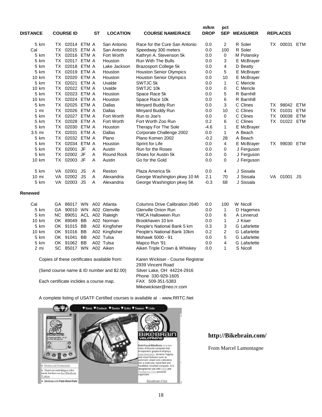| <b>DISTANCE</b>                              |                 |     | <b>COURSE ID</b>        |                    | SТ | <b>LOCATION</b>           | <b>COURSE NAME/RACE</b>                                | m/km<br><b>DROP</b> | pct<br><b>SEP</b> | <b>MEASURER</b>     |           | <b>REPLACES</b> |            |
|----------------------------------------------|-----------------|-----|-------------------------|--------------------|----|---------------------------|--------------------------------------------------------|---------------------|-------------------|---------------------|-----------|-----------------|------------|
|                                              | 5 km            |     | TX 02014 ETM A          |                    |    | San Antonio               | Race for the Cure San Antonio                          | 0.0                 | $\overline{2}$    | R Soler             |           | TX 00031 ETM    |            |
| Cal                                          |                 |     | TX 02015 ETM A          |                    |    | San Antonio               | Speedway 300 meters                                    | 0.0                 | 100               | R Soler             |           |                 |            |
|                                              | 5 km            |     | TX 02016 ETM A          |                    |    | Fort Worth                | Kathryn A. Stevenson 5k                                | 0.0                 | 0                 | M Polansky          |           |                 |            |
|                                              | 5 km            |     | TX 02017 ETM A          |                    |    | Houston                   | <b>Run With The Bulls</b>                              | 0.0                 | 3                 | E McBrayer          |           |                 |            |
|                                              | 5 km            |     | TX 02018 ETM A          |                    |    | Lake Jackson              | <b>Brazosport College 5k</b>                           | 0.0                 | 4                 | D Beatty            |           |                 |            |
|                                              | 5 km            |     | TX 02019 ETM A          |                    |    | Houston                   | <b>Houston Senior Olympics</b>                         | 0.0                 | 5                 | E McBrayer          |           |                 |            |
|                                              | 10 km           |     | TX 02020 ETM A          |                    |    | Houston                   | <b>Houston Senior Olympics</b>                         | 0.0                 | 10                | E McBrayer          |           |                 |            |
|                                              | 5 km            |     | TX 02021 ETM A          |                    |    | Uvalde                    | SWTJC 5k                                               | 0.0                 | $\mathbf{1}$      | C Mericle           |           |                 |            |
|                                              | 10 km           |     | TX 02022 ETM A          |                    |    | Uvalde                    | SWTJC 10k                                              | 0.0                 | 0                 | C Mericle           |           |                 |            |
|                                              | 5 km            |     | TX 02023 ETM A          |                    |    | Houston                   | Space Race 5k                                          | 0.0                 | 5                 | R Barnhill          |           |                 |            |
|                                              | 10 km           |     | TX 02024 ETM A          |                    |    | Houston                   | Space Race 10k                                         | 0.0                 | 6                 | R Barnhill          |           |                 |            |
|                                              | 5 km            |     | TX 02025 ETM A          |                    |    | Dallas                    |                                                        | 0.0                 | 3                 | C Clines            |           | TX 98042        | <b>ETM</b> |
|                                              |                 |     |                         |                    |    |                           | Minyard Buddy Run                                      |                     |                   | C Clines            |           |                 |            |
|                                              | 1 mi            |     | TX 02026 ETM A          |                    |    | Dallas                    | Minyard Buddy Run                                      | 0.0                 | 10                |                     |           | TX 01031        | <b>ETM</b> |
|                                              | 5 km            |     | TX 02027 ETM A          |                    |    | Fort Worth                | Run to Joe's                                           | 0.0                 | 0                 | C Clines            | <b>TX</b> | 00038           | <b>ETM</b> |
|                                              | 5 km            |     | TX 02028 ETM A          |                    |    | Fort Worth                | Fort Worth Zoo Run                                     | 0.2                 | 6                 | C Clines            |           | TX 01022 ETM    |            |
|                                              | 5 km            |     | TX 02030 ETM A          |                    |    | Houston                   | Therapy For The Sole                                   | $-4.6$              | $\mathbf{1}$      | E McBrayer          |           |                 |            |
| 3.5 mi                                       |                 |     | TX 02031 ETM A          |                    |    | Dallas                    | Corporate Challenge 2002                               | 0.0                 | $\mathbf{1}$      | A Beach             |           |                 |            |
|                                              | 5 km            |     | TX 02032 ETM A          |                    |    | Plano                     | Plano Komen 2002                                       | $-0.2$              | 28                | A Beach             |           |                 |            |
|                                              | 5 km            |     | TX 02034 ETM A          |                    |    | Houston                   | Sprint for Life                                        | 0.0                 | $\overline{4}$    | E McBrayer          |           | TX 99030 ETM    |            |
|                                              | 5 km            |     | TX 02001 JF             |                    | A  | Austin                    | Run for the Roses                                      | 0.0                 | 0                 | J Ferguson          |           |                 |            |
|                                              | 5 km            |     | TX 02002 JF             |                    | A  | <b>Round Rock</b>         | Shoes for Austin 5k                                    | 0.0                 | 0                 | J Ferguson          |           |                 |            |
|                                              | 10 km           |     | TX 02003 JF             |                    | A  | Austin                    | Go for the Gold                                        | 0.0                 | $\mathbf 0$       | J Ferguson          |           |                 |            |
|                                              | 5 km            |     | VA 02001 JS             |                    | Α  | Reston                    | Plaza America 5k                                       | 0.0                 | 4                 | J Sissala           |           |                 |            |
|                                              | $10 \text{ mi}$ | VA. | 02002 JS                |                    | A  | Alexandria                | George Washington pkwy 10 Mi                           | 2.1                 | 70                | J Sissala           |           | VA 01001        | JS         |
|                                              | 5 km            |     | VA 02003 JS             |                    | A  | Alexandria                | George Washington pkwy 5K                              | $-0.3$              | 68                | J Sissala           |           |                 |            |
| Renewed                                      |                 |     |                         |                    |    |                           |                                                        |                     |                   |                     |           |                 |            |
| Cal                                          |                 |     | GA 86017 WN A02 Atlanta |                    |    |                           | Columns Drive Calibration 2640                         | 0.0                 | 100               | W Nicoll            |           |                 |            |
|                                              | 5 km            |     |                         |                    |    | GA 90010 WN A02 Glenville | Glenville Onion Run                                    | 0.0                 | $\mathbf{1}$      | D Hagemes           |           |                 |            |
|                                              | 5 km            |     |                         |                    |    | NC 89051 ACL A02 Raleigh  | YMCA Halloween Run                                     | 0.0                 | 6                 | A Linnerud          |           |                 |            |
|                                              | 10 km           |     | OK 89049 BB             |                    |    | A02 Norman                | Brookhaven 10 km                                       | 0.0                 | $\mathbf{1}$      | J Kiser             |           |                 |            |
|                                              | 5 km            |     | OK 91015 BB             |                    |    | A02 Kingfisher            | People's National Bank 5 km                            | 0.3                 | 3                 | <b>G</b> Lafarlette |           |                 |            |
|                                              | 10 km           |     | OK 91016 BB             |                    |    | A02 Kingfisher            | People's National Bank 10km                            | 0.2                 | 2                 | <b>G</b> Lafarlette |           |                 |            |
|                                              | 5 km            |     | OK 91041 BB             |                    |    | A02 Tulsa                 | Mohawk 5000 - 91                                       | 0.0                 | 5                 | G Lafarlette        |           |                 |            |
|                                              | 5 km            |     | OK 91062 BB             |                    |    | A02 Tulsa                 | Mapco Run '91                                          | 0.0                 | 4                 | <b>G</b> Lafarlette |           |                 |            |
|                                              | 2 mi            |     | SC 85017 WN A02 Aiken   |                    |    |                           | Aiken Triple Crown & Whiskey                           | 0.0                 | 1                 | S Nicoll            |           |                 |            |
| Copies of these certificates available from: |                 |     |                         |                    |    |                           | Karen Wickiser - Course Registrar<br>2939 Vincent Road |                     |                   |                     |           |                 |            |
| (Send course name & ID number and \$2.00)    |                 |     |                         |                    |    |                           | Silver Lake, OH 44224-2916                             |                     |                   |                     |           |                 |            |
|                                              |                 |     |                         | Phone 330-929-1605 |    |                           |                                                        |                     |                   |                     |           |                 |            |
| Each certificate inclides a course map.      |                 |     |                         |                    |    |                           | FAX 509-351-5383<br>Mikewickiser@neo.rr.com            |                     |                   |                     |           |                 |            |

A complete listing of USATF Certified courses is available at - www.RRTC.Net



## **http://Bikebrain.com/**

From Marcel Lamontagne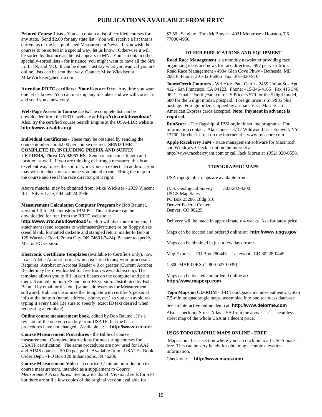#### **PUBLICATIONS AVAILABLE FROM RRTC**

**Printed Course Lists** - You can obtain a list of certified courses for any state. Send \$2.00 for any state list. You will receive a list that is current as of the last published Measurement News. If you wish the courses to be sorted in a special way, let us know. Otherwise it will be sorted by distance as the list appears in MN. You can obtain other specially-sorted lists - for instance, you might want to have all the 5k's in IL, IN, and MO. It can be done. Just say what you want. If you are online, lists can be sent that way. Contact Mike Wickiser at MikeWickiser@neo.rr.com

**Attention RRTC certifiers: Your lists are free.** Any time you want one let us know. You can mark up any mistakes and we will correct it and send you a new copy.

**Web Page Access to Course Lists:**The complete list can be downloaded from the RRTC website at **http://rrtc.net/download/** Also, try the certified course Search Engine at the USA-LDR website **http://www.usaldr.org/**

**Individual Certificates** - These may be obtained by sending the course number and \$2.00 per course desired. **SEND THE COMPLETE ID, INCLUDING PREFIX AND SUFFIX LETTERS, Thus: CA 92057 RS.** Send course name, length and location as well. If you are thinking of hiring a measurer, this is an excellent way to see the sort of work you can expect. In addition, you may wish to check out a course you intend to run. Bring the map to the course and see if the race director got it right!

Above material may be obtained from: Mike Wickiser - 2939 Vincent Rd. - Silver Lake, OH 44224-2906

**Measurement Calculation Computer Program** by Bob Baumel, version 1.2 for Macintosh or IBM PC. This software can be downloaded for free from the RRTC website at

**http://www.rrtc.net/download/** or Bob will distribute it by email attachment (send requests to webmaster@rrtc.net) or on floppy disks (send blank, formatted diskette and stamped return mailer to Bob at: 129 Warwick Road, Ponca City OK 74601-7424). Be sure to specify Mac or PC version.

**Electronic Certificate Templates** (available to Certifiers only), now in an Adobe Acrobat format which isn't tied to any word processor. Requires Acrobat or Acrobat Reader 4.0 or greater (Current Acrobat Reader may be downloaded for free from www.adobe.com). The template allows you to fill in certificates on the computer and print them. Available in both FS and non-FS version. Distributed by Bob Baumel by email or diskette [same addresses as for Measurement software]. Bob can customize the template with certifier's personal info at the bottom (name, address, phone, etc.) so you can avoid retyping it every time (Be sure to specify exact ID text desired when requesting a template).

**Online course measurement book**, edited by Bob Baumel. It's a revision of the one you can buy from USATF, but the basic procedures have not changed. Available at: **http://www.rrtc.net**

**Course Measurement Procedures** - the Bible of course measurement. Complete instructions for measuring courses for USATF certification. The same procedures are now used for IAAF and AIMS courses. \$9.00 postpaid. Available from: USATF - Book Order Dept. - PO Box 120 Indianapolis, IN 46206

**Course Measurement Video** - a concise 17 minute introduction to course measurement, intended as a supplement *to Course Measurement Procedures*. See how it's done! Version 2 sells for \$10 but there are still a few copies of the original version available for

\$7.50. Send to: Tom McBrayer - 4021 Montrose - Houston, TX 77006-4956.

#### **OTHER PUBLICATIONS AND EQUIPMENT**

**Road Race Management** is a monthly newsletter providing race organizing ideas and news for race directors. \$97 per year from: Road Race Management - 4904 Glen Cove Pkwy - Bethesda, MD 20816 Phone: 301-320-6865 Fax: 301-320-9164

**Jones/Oerth Counters** - Write to: Paul Oerth - 2455 Union St - Apt 412 - San Francisco, CA 94123. Phone: 415-346-4165 Fax 415 346 0621. Email: Poerth@aol.com. US Price is \$70 for the 5 digit model, \$80 for the 6 digit model, postpaid. Foreign price is \$75/\$85 plus postage. Foreign orders shipped by airmail. Visa, MasterCard, American Express cards accepted. **Note: Payment in advance is required.**

**RunScore** - The flagship of IBM-style finish line programs. For information contact: Alan Jones - 3717 Wildwood Dr - Endwell, NY 13760. Or check it out on the internet at: www.runscore.com

**Apple Raceberry JaM** - Race management software for Macintosh and Windows. Check it out on the Internet at http://www.raceberryjam.com or call Jack Moran at (952) 920-0558.

#### **TOPOGRAPHIC MAPS**

USA topographic maps are available from:

U. S. Geological Survey 303-202-4200 USGS Map Sales PO Box 25286, Bldg 810 Denver Federal Center Denver, CO 80225

Delivery will be made in approximately 4 weeks. Ask for latest price.

Maps can be located and ordered online at: **http://www.usgs.gov**

Maps can be obtained in just a few days from:

Map Express – PO Box 280445 – Lakewood, CO 80228-0445

1-800-MAP-00EX (1-800-627-0039)

Maps can be located and ordered online at**: http://www.mapexp.com**

**Topo Maps on CD-ROM** - 3-D TopoQuads includes authentic USGS 7.5-minute quadrangle maps, assembled into one seamless database

See an interactive online demo at **http://www.delorme.com**

Also - check out Street Atlas USA from the above – it's a seamless street map of the whole USA at a decent price.

#### **USGS TOPOGRAPHIC MAPS ONLINE - FREE**

 Maps.Com has a section where you can click on to all USGS maps, free. This can be very handy for obtaining accurate elevation information.

Check out**: http://www.maps.com**